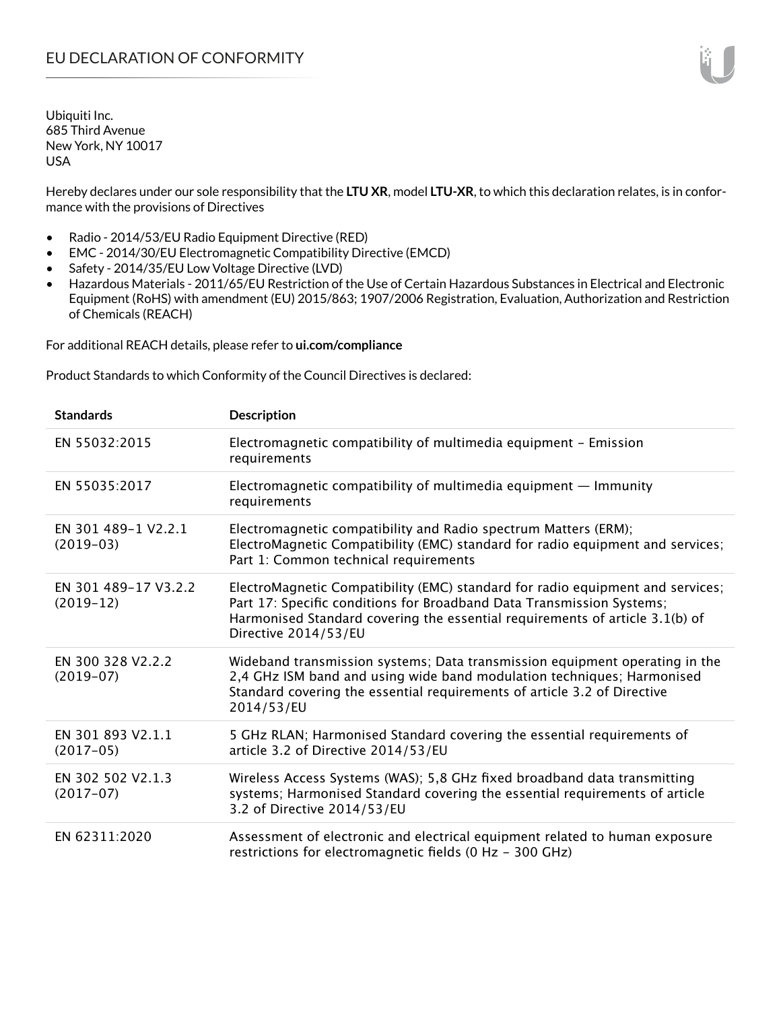Hereby declares under our sole responsibility that the **LTU XR**, model **LTU-XR**, to which this declaration relates, is in conformance with the provisions of Directives

- Radio 2014/53/EU Radio Equipment Directive (RED)
- EMC 2014/30/EU Electromagnetic Compatibility Directive (EMCD)
- Safety 2014/35/EU Low Voltage Directive (LVD)
- Hazardous Materials 2011/65/EU Restriction of the Use of Certain Hazardous Substances in Electrical and Electronic Equipment (RoHS) with amendment (EU) 2015/863; 1907/2006 Registration, Evaluation, Authorization and Restriction of Chemicals (REACH)

For additional REACH details, please refer to **ui.com/compliance**

Product Standards to which Conformity of the Council Directives is declared:

| <b>Standards</b>                    | Description                                                                                                                                                                                                                                                     |
|-------------------------------------|-----------------------------------------------------------------------------------------------------------------------------------------------------------------------------------------------------------------------------------------------------------------|
| EN 55032:2015                       | Electromagnetic compatibility of multimedia equipment - Emission<br>requirements                                                                                                                                                                                |
| EN 55035:2017                       | Electromagnetic compatibility of multimedia equipment $-$ Immunity<br>requirements                                                                                                                                                                              |
| EN 301 489-1 V2.2.1<br>$(2019-03)$  | Electromagnetic compatibility and Radio spectrum Matters (ERM);<br>ElectroMagnetic Compatibility (EMC) standard for radio equipment and services;<br>Part 1: Common technical requirements                                                                      |
| EN 301 489-17 V3.2.2<br>$(2019-12)$ | ElectroMagnetic Compatibility (EMC) standard for radio equipment and services;<br>Part 17: Specific conditions for Broadband Data Transmission Systems;<br>Harmonised Standard covering the essential requirements of article 3.1(b) of<br>Directive 2014/53/EU |
| EN 300 328 V2.2.2<br>$(2019-07)$    | Wideband transmission systems; Data transmission equipment operating in the<br>2,4 GHz ISM band and using wide band modulation techniques; Harmonised<br>Standard covering the essential requirements of article 3.2 of Directive<br>2014/53/EU                 |
| EN 301 893 V2.1.1<br>$(2017-05)$    | 5 GHz RLAN; Harmonised Standard covering the essential requirements of<br>article 3.2 of Directive 2014/53/EU                                                                                                                                                   |
| EN 302 502 V2.1.3<br>$(2017-07)$    | Wireless Access Systems (WAS); 5,8 GHz fixed broadband data transmitting<br>systems; Harmonised Standard covering the essential requirements of article<br>3.2 of Directive 2014/53/EU                                                                          |
| EN 62311:2020                       | Assessment of electronic and electrical equipment related to human exposure<br>restrictions for electromagnetic fields (0 Hz - 300 GHz)                                                                                                                         |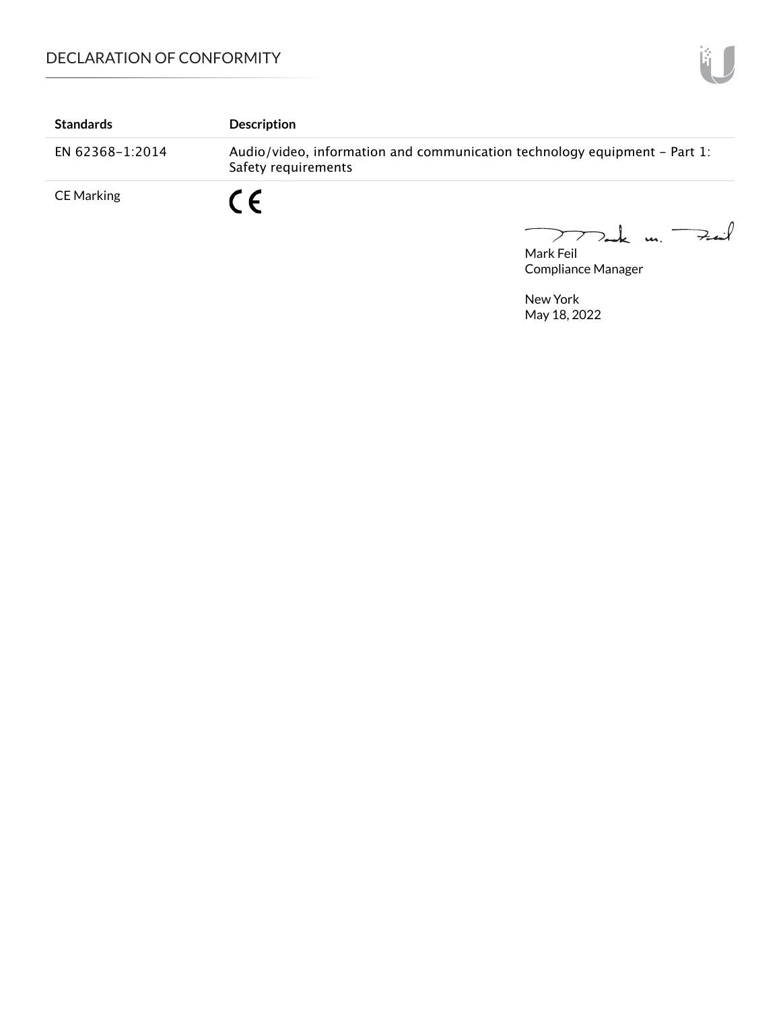| <b>Standards</b>  | <b>Description</b>                                                                               |
|-------------------|--------------------------------------------------------------------------------------------------|
| EN 62368-1:2014   | Audio/video, information and communication technology equipment - Part 1:<br>Safety requirements |
| <b>CE Marking</b> | $\epsilon$                                                                                       |

mak m. Fail  $\overline{\phantom{0}}$ 

Mark Feil Compliance Manager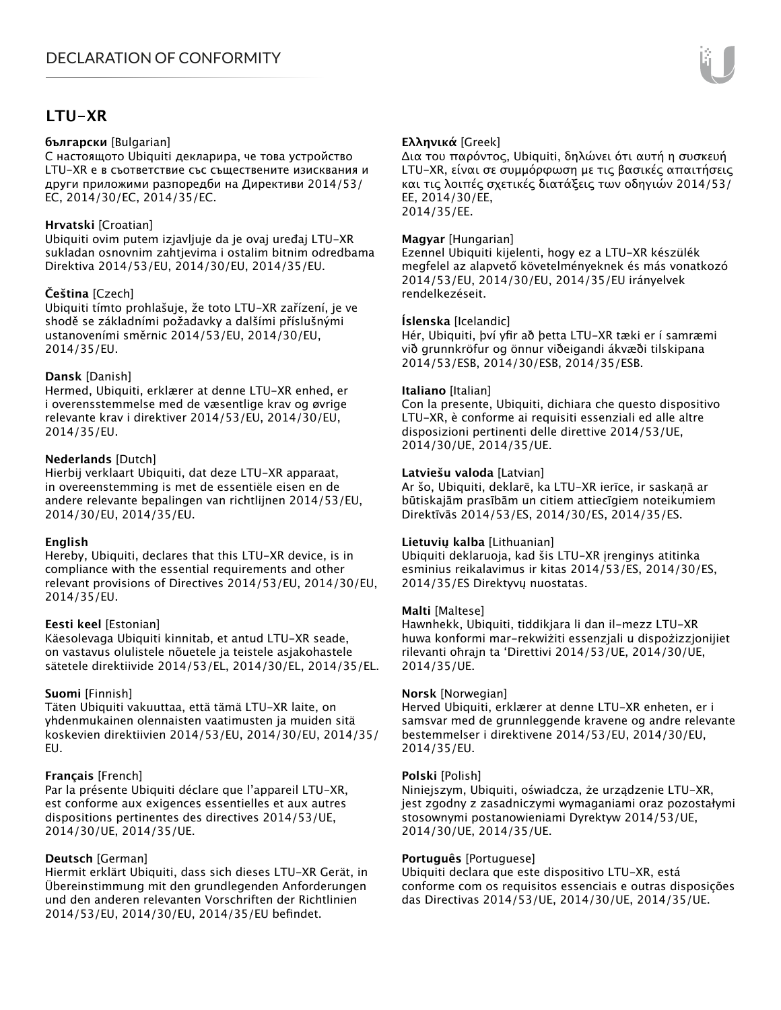# **LTU-XR**

#### **български** [Bulgarian]

С настоящото Ubiquiti декларира, че това устройство LTU-XR е в съответствие със съществените изисквания и други приложими разпоредби на Директиви 2014/53/ EC, 2014/30/ЕС, 2014/35/ЕС.

## **Hrvatski** [Croatian]

Ubiquiti ovim putem izjavljuje da je ovaj uređaj LTU-XR sukladan osnovnim zahtjevima i ostalim bitnim odredbama Direktiva 2014/53/EU, 2014/30/EU, 2014/35/EU.

## **Čeština** [Czech]

Ubiquiti tímto prohlašuje, že toto LTU-XR zařízení, je ve shodě se základními požadavky a dalšími příslušnými ustanoveními směrnic 2014/53/EU, 2014/30/EU, 2014/35/EU.

## **Dansk** [Danish]

Hermed, Ubiquiti, erklærer at denne LTU-XR enhed, er i overensstemmelse med de væsentlige krav og øvrige relevante krav i direktiver 2014/53/EU, 2014/30/EU, 2014/35/EU.

## **Nederlands** [Dutch]

Hierbij verklaart Ubiquiti, dat deze LTU-XR apparaat, in overeenstemming is met de essentiële eisen en de andere relevante bepalingen van richtlijnen 2014/53/EU, 2014/30/EU, 2014/35/EU.

## **English**

Hereby, Ubiquiti, declares that this LTU-XR device, is in compliance with the essential requirements and other relevant provisions of Directives 2014/53/EU, 2014/30/EU, 2014/35/EU.

## **Eesti keel** [Estonian]

Käesolevaga Ubiquiti kinnitab, et antud LTU-XR seade, on vastavus olulistele nõuetele ja teistele asjakohastele sätetele direktiivide 2014/53/EL, 2014/30/EL, 2014/35/EL.

## **Suomi** [Finnish]

Täten Ubiquiti vakuuttaa, että tämä LTU-XR laite, on yhdenmukainen olennaisten vaatimusten ja muiden sitä koskevien direktiivien 2014/53/EU, 2014/30/EU, 2014/35/ EU.

## **Français** [French]

Par la présente Ubiquiti déclare que l'appareil LTU-XR, est conforme aux exigences essentielles et aux autres dispositions pertinentes des directives 2014/53/UE, 2014/30/UE, 2014/35/UE.

# **Deutsch** [German]

Hiermit erklärt Ubiquiti, dass sich dieses LTU-XR Gerät, in Übereinstimmung mit den grundlegenden Anforderungen und den anderen relevanten Vorschriften der Richtlinien 2014/53/EU, 2014/30/EU, 2014/35/EU befindet.

# **Ελληνικά** [Greek]

Δια του παρόντος, Ubiquiti, δηλώνει ότι αυτή η συσκευή LTU-XR, είναι σε συμμόρφωση με τις βασικές απαιτήσεις και τις λοιπές σχετικές διατάξεις των οδηγιών 2014/53/ EE, 2014/30/EE, 2014/35/EE.

## **Magyar** [Hungarian]

Ezennel Ubiquiti kijelenti, hogy ez a LTU-XR készülék megfelel az alapvető követelményeknek és más vonatkozó 2014/53/EU, 2014/30/EU, 2014/35/EU irányelvek rendelkezéseit.

## **Íslenska** [Icelandic]

Hér, Ubiquiti, því yfir að þetta LTU-XR tæki er í samræmi við grunnkröfur og önnur viðeigandi ákvæði tilskipana 2014/53/ESB, 2014/30/ESB, 2014/35/ESB.

#### **Italiano** [Italian]

Con la presente, Ubiquiti, dichiara che questo dispositivo LTU-XR, è conforme ai requisiti essenziali ed alle altre disposizioni pertinenti delle direttive 2014/53/UE, 2014/30/UE, 2014/35/UE.

## **Latviešu valoda** [Latvian]

Ar šo, Ubiquiti, deklarē, ka LTU-XR ierīce, ir saskaņā ar būtiskajām prasībām un citiem attiecīgiem noteikumiem Direktīvās 2014/53/ES, 2014/30/ES, 2014/35/ES.

## **Lietuvių kalba** [Lithuanian]

Ubiquiti deklaruoja, kad šis LTU-XR įrenginys atitinka esminius reikalavimus ir kitas 2014/53/ES, 2014/30/ES, 2014/35/ES Direktyvų nuostatas.

## **Malti** [Maltese]

Hawnhekk, Ubiquiti, tiddikjara li dan il-mezz LTU-XR huwa konformi mar-rekwiżiti essenzjali u dispożizzjonijiet rilevanti oħrajn ta 'Direttivi 2014/53/UE, 2014/30/UE, 2014/35/UE.

## **Norsk** [Norwegian]

Herved Ubiquiti, erklærer at denne LTU-XR enheten, er i samsvar med de grunnleggende kravene og andre relevante bestemmelser i direktivene 2014/53/EU, 2014/30/EU, 2014/35/EU.

#### **Polski** [Polish]

Niniejszym, Ubiquiti, oświadcza, że urządzenie LTU-XR, jest zgodny z zasadniczymi wymaganiami oraz pozostałymi stosownymi postanowieniami Dyrektyw 2014/53/UE, 2014/30/UE, 2014/35/UE.

## **Português** [Portuguese]

Ubiquiti declara que este dispositivo LTU-XR, está conforme com os requisitos essenciais e outras disposições das Directivas 2014/53/UE, 2014/30/UE, 2014/35/UE.

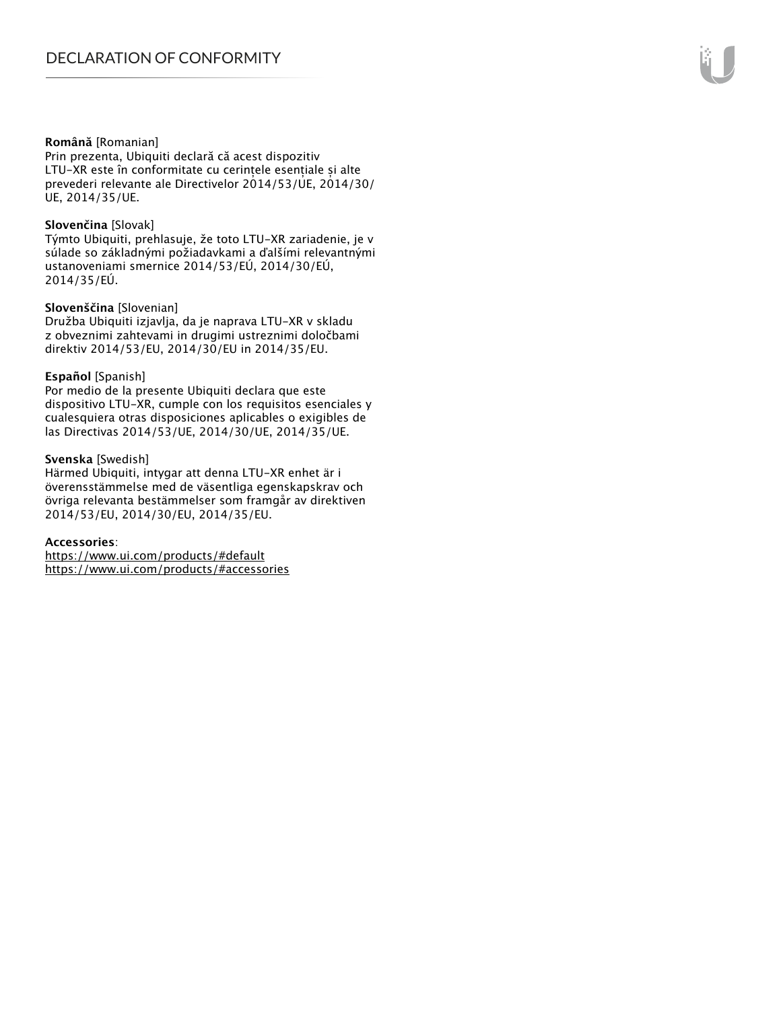#### **Română** [Romanian]

Prin prezenta, Ubiquiti declară că acest dispozitiv LTU-XR este în conformitate cu cerințele esențiale și alte prevederi relevante ale Directivelor 2014/53/UE, 2014/30/ UE, 2014/35/UE.

#### **Slovenčina** [Slovak]

Týmto Ubiquiti, prehlasuje, že toto LTU-XR zariadenie, je v súlade so základnými požiadavkami a ďalšími relevantnými ustanoveniami smernice 2014/53/EÚ, 2014/30/EÚ, 2014/35/EÚ.

#### **Slovenščina** [Slovenian]

Družba Ubiquiti izjavlja, da je naprava LTU-XR v skladu z obveznimi zahtevami in drugimi ustreznimi določbami direktiv 2014/53/EU, 2014/30/EU in 2014/35/EU.

#### **Español** [Spanish]

Por medio de la presente Ubiquiti declara que este dispositivo LTU-XR, cumple con los requisitos esenciales y cualesquiera otras disposiciones aplicables o exigibles de las Directivas 2014/53/UE, 2014/30/UE, 2014/35/UE.

#### **Svenska** [Swedish]

Härmed Ubiquiti, intygar att denna LTU-XR enhet är i överensstämmelse med de väsentliga egenskapskrav och övriga relevanta bestämmelser som framgår av direktiven 2014/53/EU, 2014/30/EU, 2014/35/EU.

#### **Accessories**:

https://www.ui.com/products/#default https://www.ui.com/products/#accessories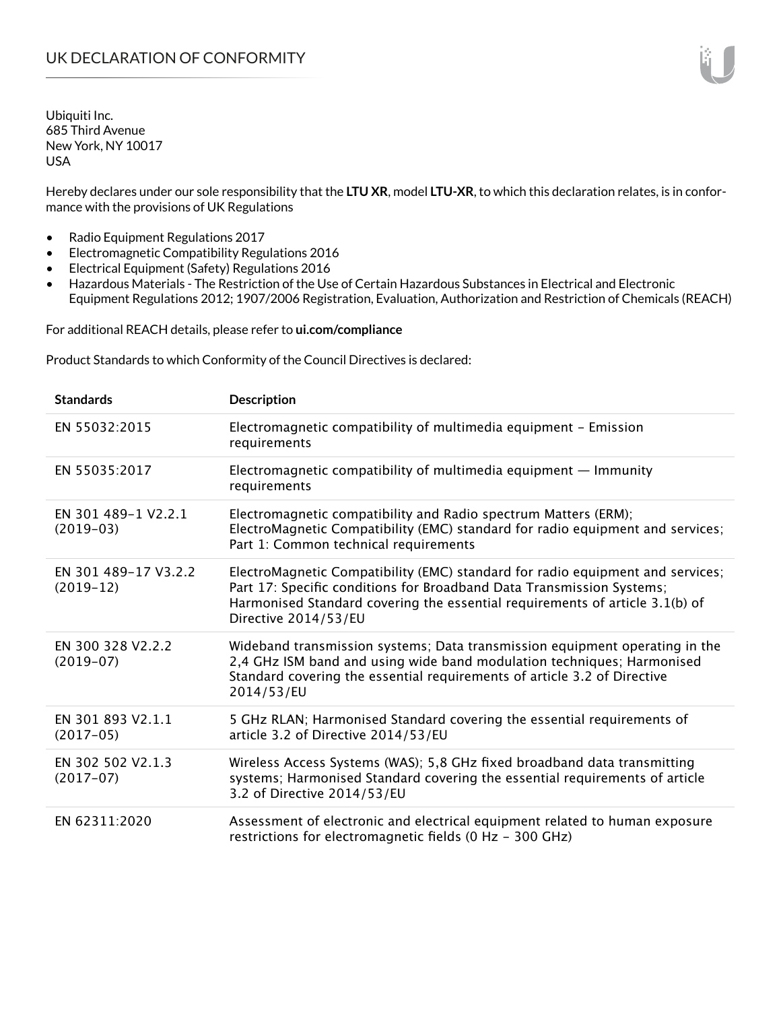Hereby declares under our sole responsibility that the **LTU XR**, model **LTU-XR**, to which this declaration relates, is in conformance with the provisions of UK Regulations

- Radio Equipment Regulations 2017
- Electromagnetic Compatibility Regulations 2016
- Electrical Equipment (Safety) Regulations 2016
- Hazardous Materials The Restriction of the Use of Certain Hazardous Substances in Electrical and Electronic Equipment Regulations 2012; 1907/2006 Registration, Evaluation, Authorization and Restriction of Chemicals (REACH)

For additional REACH details, please refer to **ui.com/compliance**

Product Standards to which Conformity of the Council Directives is declared:

| <b>Standards</b>                    | <b>Description</b>                                                                                                                                                                                                                                              |
|-------------------------------------|-----------------------------------------------------------------------------------------------------------------------------------------------------------------------------------------------------------------------------------------------------------------|
| EN 55032:2015                       | Electromagnetic compatibility of multimedia equipment - Emission<br>requirements                                                                                                                                                                                |
| EN 55035:2017                       | Electromagnetic compatibility of multimedia equipment $-$ Immunity<br>requirements                                                                                                                                                                              |
| EN 301 489-1 V2.2.1<br>$(2019-03)$  | Electromagnetic compatibility and Radio spectrum Matters (ERM);<br>ElectroMagnetic Compatibility (EMC) standard for radio equipment and services;<br>Part 1: Common technical requirements                                                                      |
| EN 301 489-17 V3.2.2<br>$(2019-12)$ | ElectroMagnetic Compatibility (EMC) standard for radio equipment and services;<br>Part 17: Specific conditions for Broadband Data Transmission Systems;<br>Harmonised Standard covering the essential requirements of article 3.1(b) of<br>Directive 2014/53/EU |
| EN 300 328 V2.2.2<br>$(2019-07)$    | Wideband transmission systems; Data transmission equipment operating in the<br>2,4 GHz ISM band and using wide band modulation techniques; Harmonised<br>Standard covering the essential requirements of article 3.2 of Directive<br>2014/53/EU                 |
| EN 301 893 V2.1.1<br>$(2017-05)$    | 5 GHz RLAN; Harmonised Standard covering the essential requirements of<br>article 3.2 of Directive 2014/53/EU                                                                                                                                                   |
| EN 302 502 V2.1.3<br>$(2017-07)$    | Wireless Access Systems (WAS); 5,8 GHz fixed broadband data transmitting<br>systems; Harmonised Standard covering the essential requirements of article<br>3.2 of Directive 2014/53/EU                                                                          |
| EN 62311:2020                       | Assessment of electronic and electrical equipment related to human exposure<br>restrictions for electromagnetic fields (0 Hz - 300 GHz)                                                                                                                         |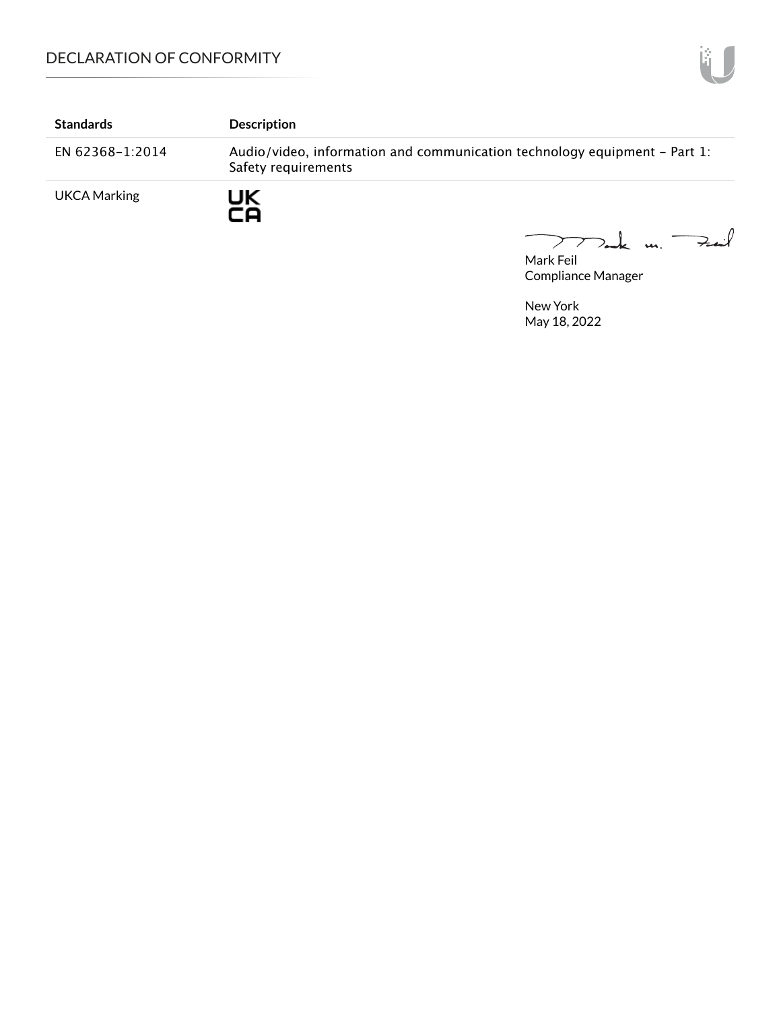| <b>Standards</b>    | <b>Description</b>                                                                               |
|---------------------|--------------------------------------------------------------------------------------------------|
| EN 62368-1:2014     | Audio/video, information and communication technology equipment - Part 1:<br>Safety requirements |
| <b>UKCA Marking</b> | JK<br>-0                                                                                         |

Dank un Fail

Mark Feil Compliance Manager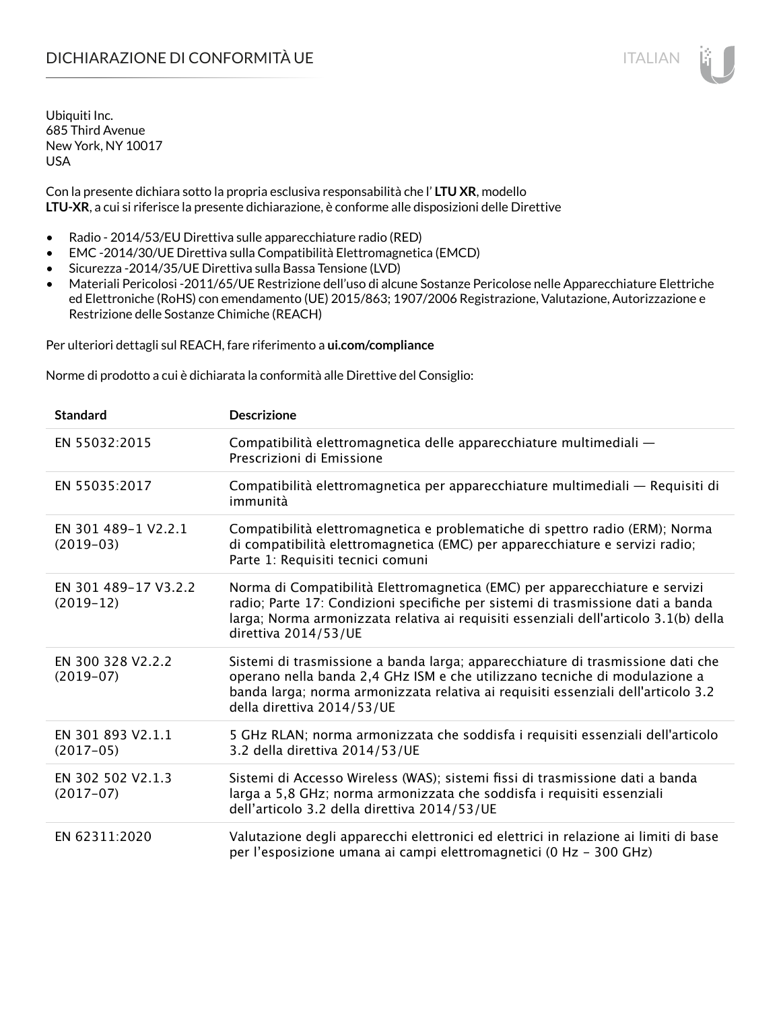Con la presente dichiara sotto la propria esclusiva responsabilità che l' **LTU XR**, modello **LTU-XR**, a cui si riferisce la presente dichiarazione, è conforme alle disposizioni delle Direttive

- Radio 2014/53/EU Direttiva sulle apparecchiature radio (RED)
- EMC -2014/30/UE Direttiva sulla Compatibilità Elettromagnetica (EMCD)
- Sicurezza -2014/35/UE Direttiva sulla Bassa Tensione (LVD)
- Materiali Pericolosi -2011/65/UE Restrizione dell'uso di alcune Sostanze Pericolose nelle Apparecchiature Elettriche ed Elettroniche (RoHS) con emendamento (UE) 2015/863; 1907/2006 Registrazione, Valutazione, Autorizzazione e Restrizione delle Sostanze Chimiche (REACH)

Per ulteriori dettagli sul REACH, fare riferimento a **ui.com/compliance**

Norme di prodotto a cui è dichiarata la conformità alle Direttive del Consiglio:

| <b>Standard</b>                     | <b>Descrizione</b>                                                                                                                                                                                                                                                               |
|-------------------------------------|----------------------------------------------------------------------------------------------------------------------------------------------------------------------------------------------------------------------------------------------------------------------------------|
| EN 55032:2015                       | Compatibilità elettromagnetica delle apparecchiature multimediali -<br>Prescrizioni di Emissione                                                                                                                                                                                 |
| EN 55035:2017                       | Compatibilità elettromagnetica per apparecchiature multimediali - Requisiti di<br>immunità                                                                                                                                                                                       |
| EN 301 489-1 V2.2.1<br>$(2019-03)$  | Compatibilità elettromagnetica e problematiche di spettro radio (ERM); Norma<br>di compatibilità elettromagnetica (EMC) per apparecchiature e servizi radio;<br>Parte 1: Requisiti tecnici comuni                                                                                |
| EN 301 489-17 V3.2.2<br>$(2019-12)$ | Norma di Compatibilità Elettromagnetica (EMC) per apparecchiature e servizi<br>radio; Parte 17: Condizioni specifiche per sistemi di trasmissione dati a banda<br>larga; Norma armonizzata relativa ai requisiti essenziali dell'articolo 3.1(b) della<br>direttiva 2014/53/UE   |
| EN 300 328 V2.2.2<br>$(2019-07)$    | Sistemi di trasmissione a banda larga; apparecchiature di trasmissione dati che<br>operano nella banda 2,4 GHz ISM e che utilizzano tecniche di modulazione a<br>banda larga; norma armonizzata relativa ai requisiti essenziali dell'articolo 3.2<br>della direttiva 2014/53/UE |
| EN 301 893 V2.1.1<br>$(2017-05)$    | 5 GHz RLAN; norma armonizzata che soddisfa i requisiti essenziali dell'articolo<br>3.2 della direttiva 2014/53/UE                                                                                                                                                                |
| EN 302 502 V2.1.3<br>$(2017-07)$    | Sistemi di Accesso Wireless (WAS); sistemi fissi di trasmissione dati a banda<br>larga a 5,8 GHz; norma armonizzata che soddisfa i requisiti essenziali<br>dell'articolo 3.2 della direttiva 2014/53/UE                                                                          |
| EN 62311:2020                       | Valutazione degli apparecchi elettronici ed elettrici in relazione ai limiti di base<br>per l'esposizione umana ai campi elettromagnetici (0 Hz - 300 GHz)                                                                                                                       |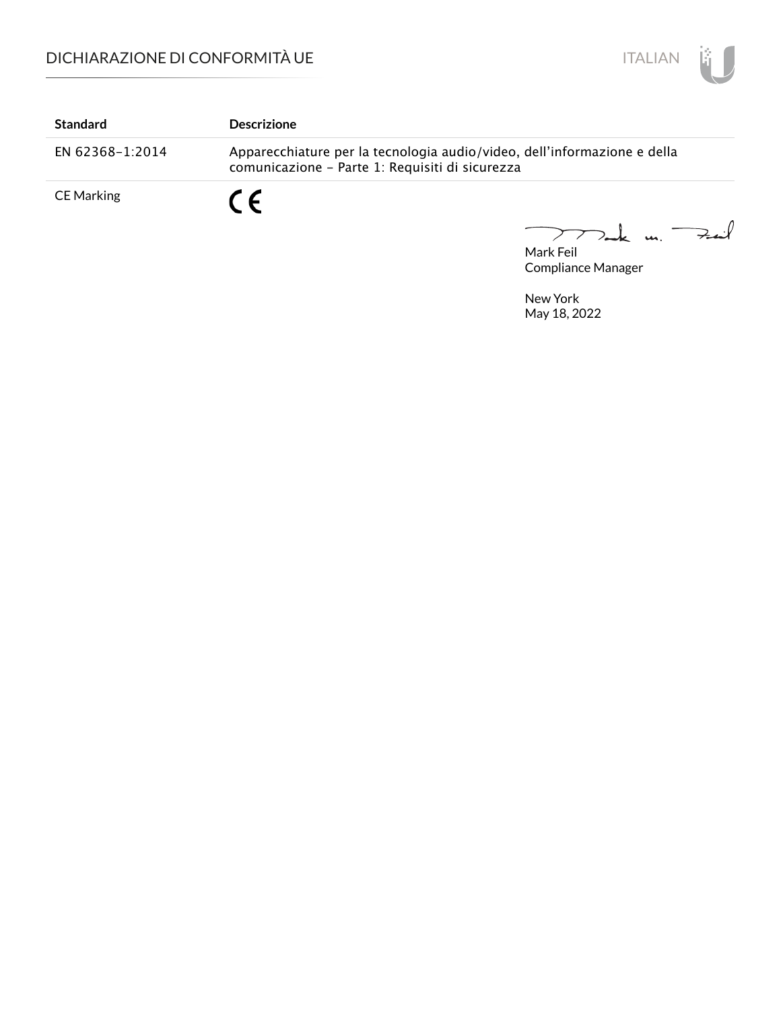

| <b>Standard</b>   | <b>Descrizione</b>                                                                                                          |  |
|-------------------|-----------------------------------------------------------------------------------------------------------------------------|--|
| EN 62368-1:2014   | Apparecchiature per la tecnologia audio/video, dell'informazione e della<br>comunicazione - Parte 1: Requisiti di sicurezza |  |
| <b>CE Marking</b> | $\epsilon$                                                                                                                  |  |

Mark Feil un Feuil  $\overline{\phantom{0}}$ 

Compliance Manager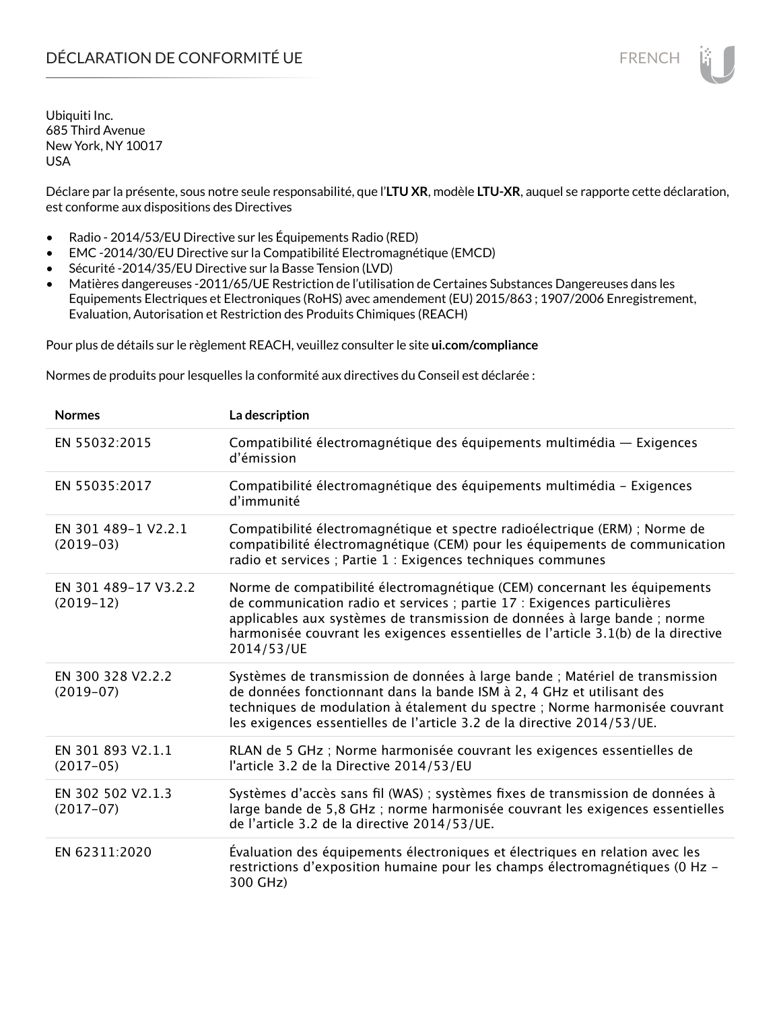Déclare par la présente, sous notre seule responsabilité, que l'**LTU XR**, modèle **LTU-XR**, auquel se rapporte cette déclaration, est conforme aux dispositions des Directives

- Radio 2014/53/EU Directive sur les Équipements Radio (RED)
- EMC -2014/30/EU Directive sur la Compatibilité Electromagnétique (EMCD)
- Sécurité -2014/35/EU Directive sur la Basse Tension (LVD)
- Matières dangereuses -2011/65/UE Restriction de l'utilisation de Certaines Substances Dangereuses dans les Equipements Electriques et Electroniques (RoHS) avec amendement (EU) 2015/863 ; 1907/2006 Enregistrement, Evaluation, Autorisation et Restriction des Produits Chimiques (REACH)

Pour plus de détails sur le règlement REACH, veuillez consulter le site **ui.com/compliance**

Normes de produits pour lesquelles la conformité aux directives du Conseil est déclarée :

| <b>Normes</b>                       | La description                                                                                                                                                                                                                                                                                                                         |
|-------------------------------------|----------------------------------------------------------------------------------------------------------------------------------------------------------------------------------------------------------------------------------------------------------------------------------------------------------------------------------------|
| EN 55032:2015                       | Compatibilité électromagnétique des équipements multimédia — Exigences<br>d'émission                                                                                                                                                                                                                                                   |
| EN 55035:2017                       | Compatibilité électromagnétique des équipements multimédia - Exigences<br>d'immunité                                                                                                                                                                                                                                                   |
| EN 301 489-1 V2.2.1<br>$(2019-03)$  | Compatibilité électromagnétique et spectre radioélectrique (ERM) ; Norme de<br>compatibilité électromagnétique (CEM) pour les équipements de communication<br>radio et services ; Partie 1 : Exigences techniques communes                                                                                                             |
| EN 301 489-17 V3.2.2<br>$(2019-12)$ | Norme de compatibilité électromagnétique (CEM) concernant les équipements<br>de communication radio et services ; partie 17 : Exigences particulières<br>applicables aux systèmes de transmission de données à large bande ; norme<br>harmonisée couvrant les exigences essentielles de l'article 3.1(b) de la directive<br>2014/53/UE |
| EN 300 328 V2.2.2<br>$(2019-07)$    | Systèmes de transmission de données à large bande ; Matériel de transmission<br>de données fonctionnant dans la bande ISM à 2, 4 GHz et utilisant des<br>techniques de modulation à étalement du spectre ; Norme harmonisée couvrant<br>les exigences essentielles de l'article 3.2 de la directive 2014/53/UE.                        |
| EN 301 893 V2.1.1<br>$(2017-05)$    | RLAN de 5 GHz ; Norme harmonisée couvrant les exigences essentielles de<br>l'article 3.2 de la Directive 2014/53/EU                                                                                                                                                                                                                    |
| EN 302 502 V2.1.3<br>$(2017-07)$    | Systèmes d'accès sans fil (WAS) ; systèmes fixes de transmission de données à<br>large bande de 5,8 GHz ; norme harmonisée couvrant les exigences essentielles<br>de l'article 3.2 de la directive 2014/53/UE.                                                                                                                         |
| EN 62311:2020                       | Évaluation des équipements électroniques et électriques en relation avec les<br>restrictions d'exposition humaine pour les champs électromagnétiques (0 Hz -<br>300 GHz)                                                                                                                                                               |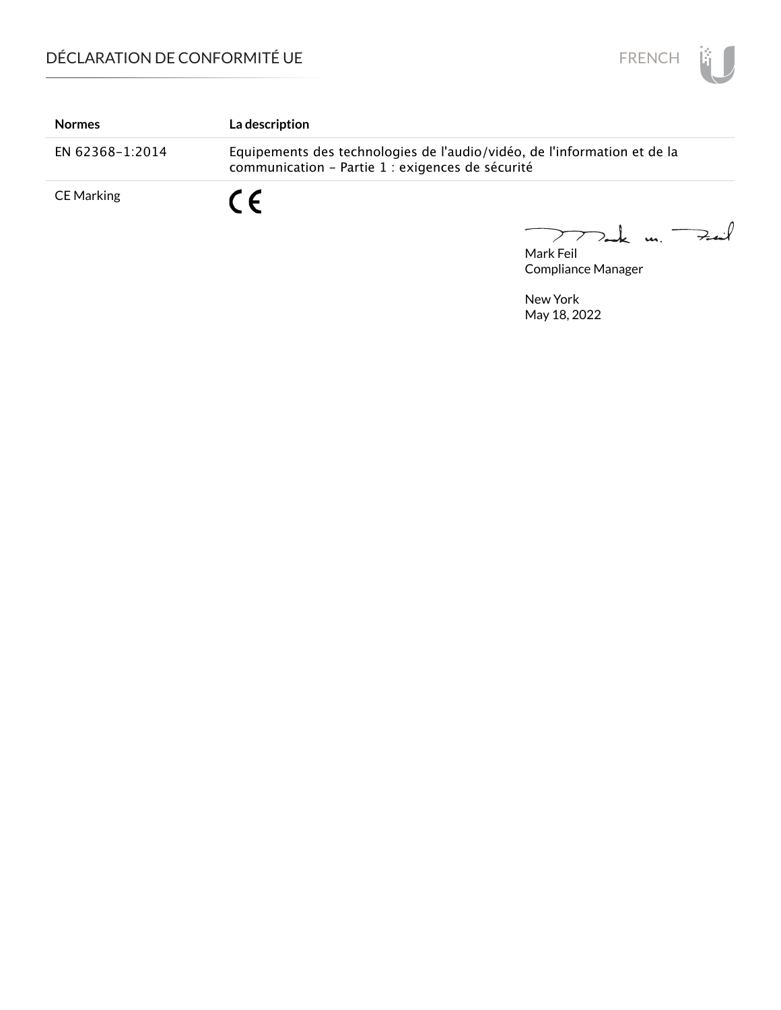

| <b>Normes</b>     | La description                                                                                                               |
|-------------------|------------------------------------------------------------------------------------------------------------------------------|
| EN 62368-1:2014   | Equipements des technologies de l'audio/vidéo, de l'information et de la<br>communication - Partie 1 : exigences de sécurité |
| <b>CE Marking</b> | $\epsilon$                                                                                                                   |

Mark Feil<br>Mark Feil  $\overline{\phantom{0}}$ 

Compliance Manager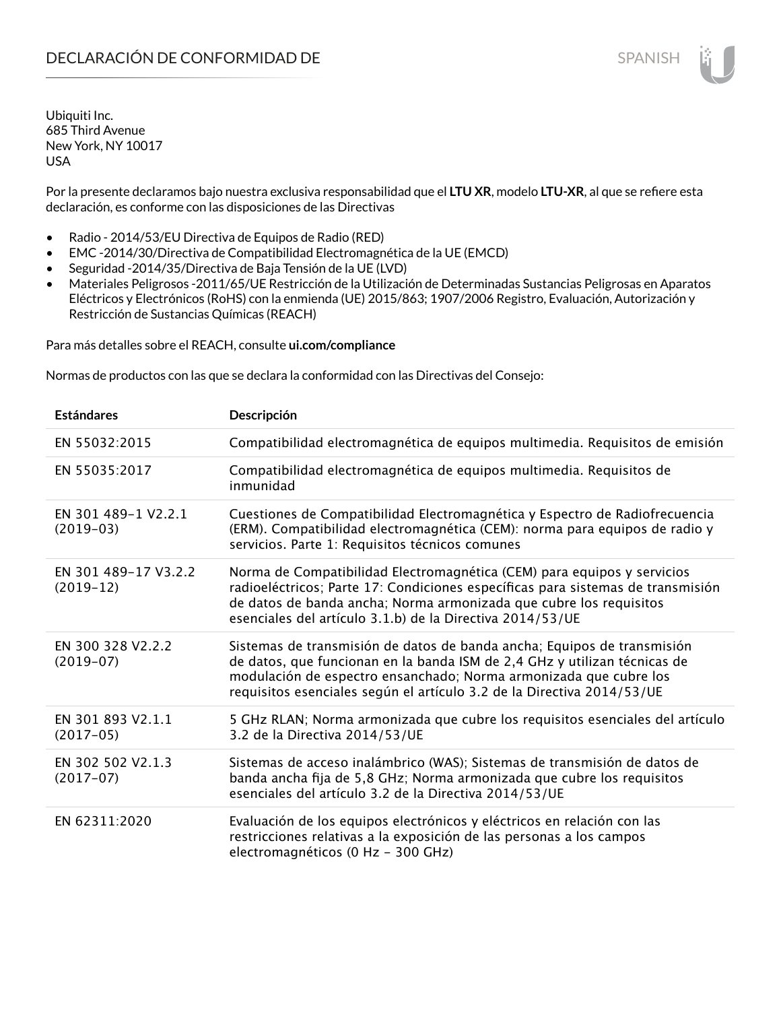Por la presente declaramos bajo nuestra exclusiva responsabilidad que el **LTU XR**, modelo **LTU-XR**, al que se refiere esta declaración, es conforme con las disposiciones de las Directivas

- Radio 2014/53/EU Directiva de Equipos de Radio (RED)
- EMC -2014/30/Directiva de Compatibilidad Electromagnética de la UE (EMCD)
- Seguridad -2014/35/Directiva de Baja Tensión de la UE (LVD)
- Materiales Peligrosos -2011/65/UE Restricción de la Utilización de Determinadas Sustancias Peligrosas en Aparatos Eléctricos y Electrónicos (RoHS) con la enmienda (UE) 2015/863; 1907/2006 Registro, Evaluación, Autorización y Restricción de Sustancias Químicas (REACH)

Para más detalles sobre el REACH, consulte **ui.com/compliance**

Normas de productos con las que se declara la conformidad con las Directivas del Consejo:

| <b>Estándares</b>                   | Descripción                                                                                                                                                                                                                                                                                         |
|-------------------------------------|-----------------------------------------------------------------------------------------------------------------------------------------------------------------------------------------------------------------------------------------------------------------------------------------------------|
| EN 55032:2015                       | Compatibilidad electromagnética de equipos multimedia. Requisitos de emisión                                                                                                                                                                                                                        |
| EN 55035:2017                       | Compatibilidad electromagnética de equipos multimedia. Requisitos de<br>inmunidad                                                                                                                                                                                                                   |
| EN 301 489-1 V2.2.1<br>$(2019-03)$  | Cuestiones de Compatibilidad Electromagnética y Espectro de Radiofrecuencia<br>(ERM). Compatibilidad electromagnética (CEM): norma para equipos de radio y<br>servicios. Parte 1: Requisitos técnicos comunes                                                                                       |
| EN 301 489-17 V3.2.2<br>$(2019-12)$ | Norma de Compatibilidad Electromagnética (CEM) para equipos y servicios<br>radioeléctricos; Parte 17: Condiciones específicas para sistemas de transmisión<br>de datos de banda ancha; Norma armonizada que cubre los requisitos<br>esenciales del artículo 3.1.b) de la Directiva 2014/53/UE       |
| EN 300 328 V2.2.2<br>$(2019-07)$    | Sistemas de transmisión de datos de banda ancha; Equipos de transmisión<br>de datos, que funcionan en la banda ISM de 2,4 GHz y utilizan técnicas de<br>modulación de espectro ensanchado; Norma armonizada que cubre los<br>requisitos esenciales según el artículo 3.2 de la Directiva 2014/53/UE |
| EN 301 893 V2.1.1<br>$(2017-05)$    | 5 GHz RLAN; Norma armonizada que cubre los requisitos esenciales del artículo<br>3.2 de la Directiva 2014/53/UE                                                                                                                                                                                     |
| EN 302 502 V2.1.3<br>$(2017-07)$    | Sistemas de acceso inalámbrico (WAS); Sistemas de transmisión de datos de<br>banda ancha fija de 5,8 GHz; Norma armonizada que cubre los requisitos<br>esenciales del artículo 3.2 de la Directiva 2014/53/UE                                                                                       |
| EN 62311:2020                       | Evaluación de los equipos electrónicos y eléctricos en relación con las<br>restricciones relativas a la exposición de las personas a los campos<br>electromagnéticos (0 Hz - 300 GHz)                                                                                                               |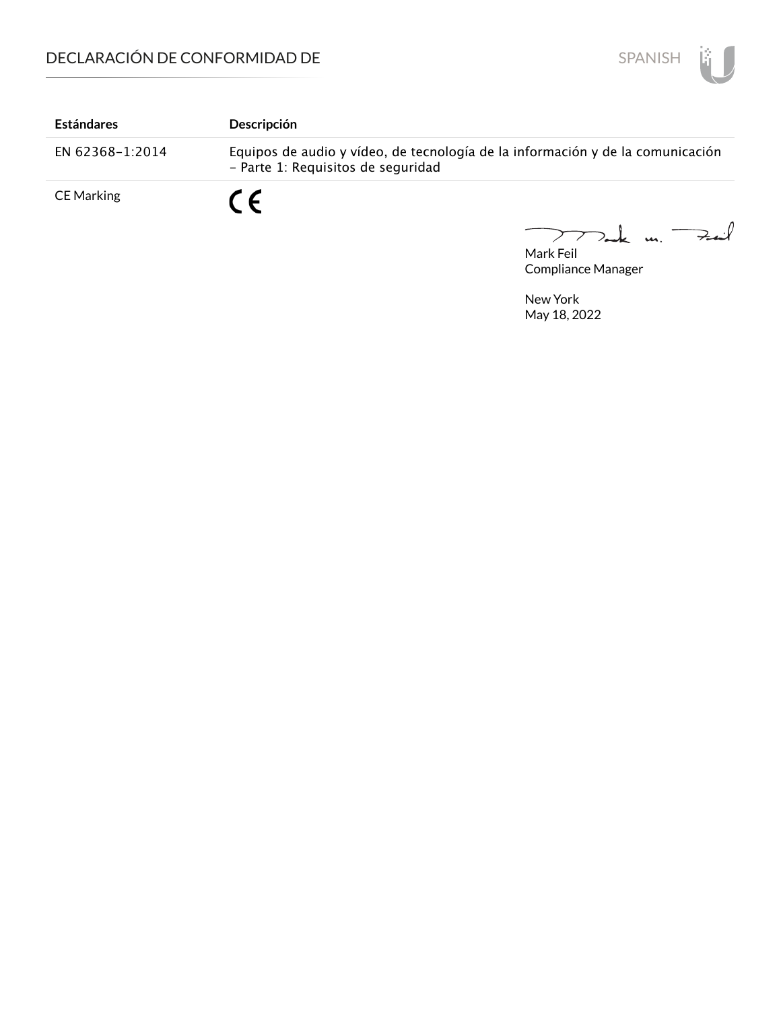

| <b>Estándares</b> | Descripción                                                                                                          |
|-------------------|----------------------------------------------------------------------------------------------------------------------|
| EN 62368-1:2014   | Equipos de audio y vídeo, de tecnología de la información y de la comunicación<br>- Parte 1: Requisitos de seguridad |
| <b>CE Marking</b> | $\epsilon$                                                                                                           |

Mark Feil u. <del>Zu</del>il  $\overline{\phantom{m}}$ 

Compliance Manager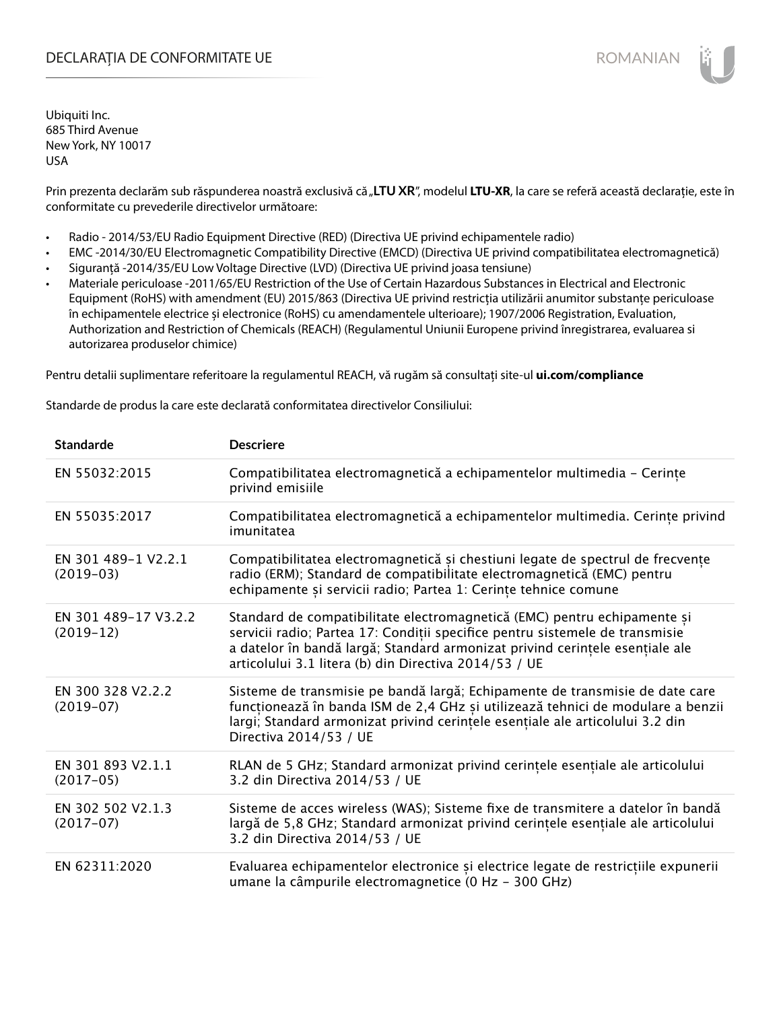# DECLARAȚIA DE CONFORMITATE UE EXECUTE DE ROMANIAN

Ubiquiti Inc. 685 Third Avenue New York, NY 10017 USA

Prin prezenta declarăm sub răspunderea noastră exclusivă că "LTU XR", modelul LTU-XR, la care se referă această declarație, este în conformitate cu prevederile directivelor următoare:

- Radio 2014/53/EU Radio Equipment Directive (RED) (Directiva UE privind echipamentele radio)
- EMC -2014/30/EU Electromagnetic Compatibility Directive (EMCD) (Directiva UE privind compatibilitatea electromagnetică)
- Siguranță -2014/35/EU Low Voltage Directive (LVD) (Directiva UE privind joasa tensiune)
- Materiale periculoase -2011/65/EU Restriction of the Use of Certain Hazardous Substances in Electrical and Electronic Equipment (RoHS) with amendment (EU) 2015/863 (Directiva UE privind restricția utilizării anumitor substanțe periculoase în echipamentele electrice și electronice (RoHS) cu amendamentele ulterioare); 1907/2006 Registration, Evaluation, Authorization and Restriction of Chemicals (REACH) (Regulamentul Uniunii Europene privind înregistrarea, evaluarea si autorizarea produselor chimice)

Pentru detalii suplimentare referitoare la regulamentul REACH, vă rugăm să consultați site-ul **ui.com/compliance**

Standarde de produs la care este declarată conformitatea directivelor Consiliului:

| <b>Standarde</b>                    | <b>Descriere</b>                                                                                                                                                                                                                                                                                  |
|-------------------------------------|---------------------------------------------------------------------------------------------------------------------------------------------------------------------------------------------------------------------------------------------------------------------------------------------------|
| EN 55032:2015                       | Compatibilitatea electromagnetică a echipamentelor multimedia - Cerințe<br>privind emisiile                                                                                                                                                                                                       |
| EN 55035:2017                       | Compatibilitatea electromagnetică a echipamentelor multimedia. Cerințe privind<br>imunitatea                                                                                                                                                                                                      |
| EN 301 489-1 V2.2.1<br>$(2019-03)$  | Compatibilitatea electromagnetică și chestiuni legate de spectrul de frecvențe<br>radio (ERM); Standard de compatibilitate electromagnetică (EMC) pentru<br>echipamente și servicii radio; Partea 1: Cerințe tehnice comune                                                                       |
| EN 301 489-17 V3.2.2<br>$(2019-12)$ | Standard de compatibilitate electromagnetică (EMC) pentru echipamente și<br>servicii radio; Partea 17: Condiții specifice pentru sistemele de transmisie<br>a datelor în bandă largă; Standard armonizat privind cerințele esențiale ale<br>articolului 3.1 litera (b) din Directiva 2014/53 / UE |
| EN 300 328 V2.2.2<br>$(2019-07)$    | Sisteme de transmisie pe bandă largă; Echipamente de transmisie de date care<br>funcționează în banda ISM de 2,4 GHz și utilizează tehnici de modulare a benzii<br>largi; Standard armonizat privind cerintele esențiale ale articolului 3.2 din<br>Directiva 2014/53 / UE                        |
| EN 301 893 V2.1.1<br>$(2017-05)$    | RLAN de 5 GHz; Standard armonizat privind cerințele esențiale ale articolului<br>3.2 din Directiva 2014/53 / UE                                                                                                                                                                                   |
| EN 302 502 V2.1.3<br>$(2017-07)$    | Sisteme de acces wireless (WAS); Sisteme fixe de transmitere a datelor în bandă<br>largă de 5,8 GHz; Standard armonizat privind cerințele esențiale ale articolului<br>3.2 din Directiva 2014/53 / UE                                                                                             |
| EN 62311:2020                       | Evaluarea echipamentelor electronice și electrice legate de restricțiile expunerii<br>umane la câmpurile electromagnetice (0 Hz - 300 GHz)                                                                                                                                                        |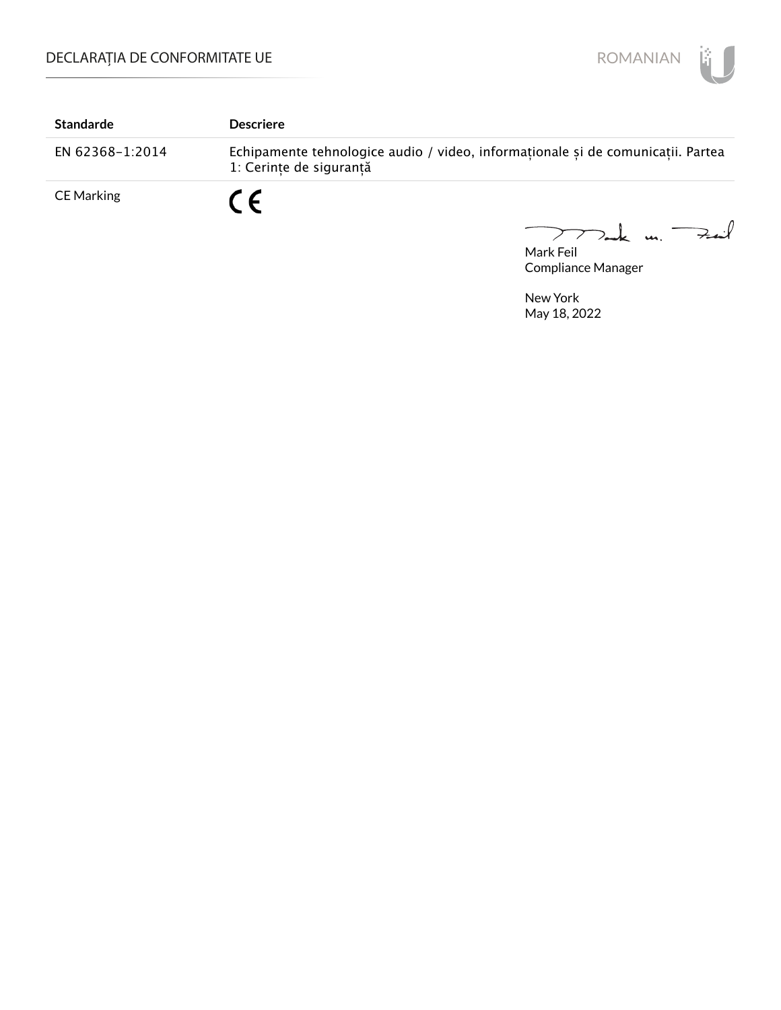

| <b>Standarde</b> | <b>Descriere</b>                                                                                           |
|------------------|------------------------------------------------------------------------------------------------------------|
| EN 62368-1:2014  | Echipamente tehnologice audio / video, informaționale și de comunicații. Partea<br>1: Cerinte de sigurantă |
| CE Marking       | CE                                                                                                         |

TTak m. Fait Mark Feil

Compliance Manager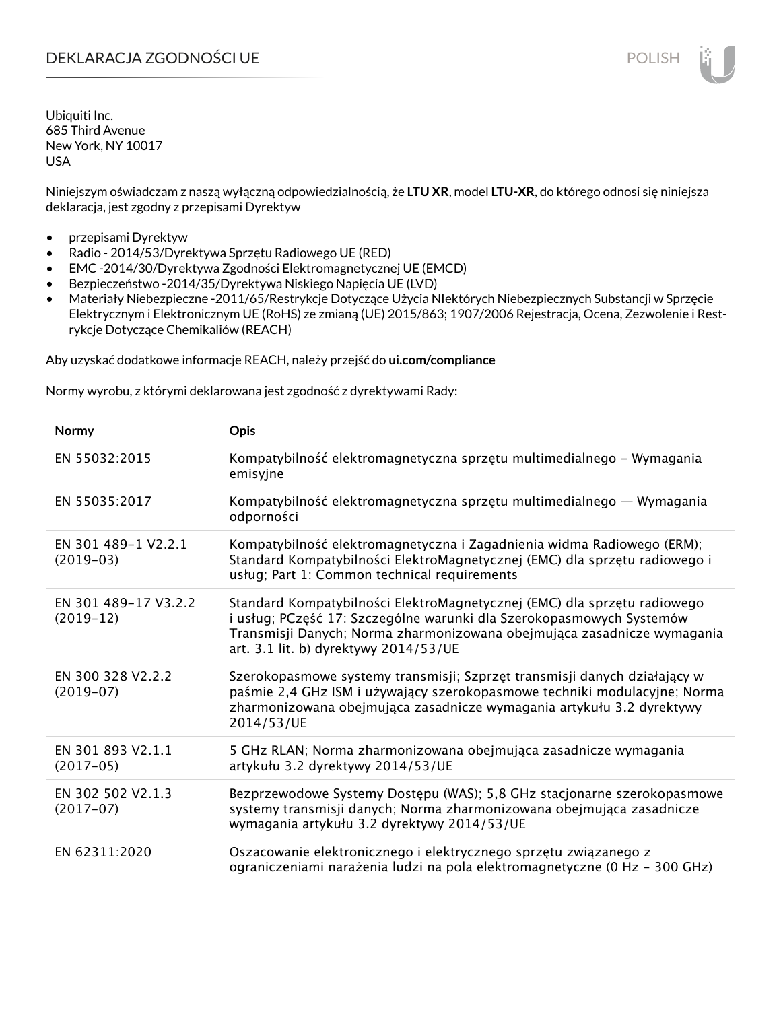Niniejszym oświadczam z naszą wyłączną odpowiedzialnością, że **LTU XR**, model **LTU-XR**, do którego odnosi się niniejsza deklaracja, jest zgodny z przepisami Dyrektyw

- przepisami Dyrektyw
- Radio 2014/53/Dyrektywa Sprzętu Radiowego UE (RED)
- EMC -2014/30/Dyrektywa Zgodności Elektromagnetycznej UE (EMCD)
- Bezpieczeństwo -2014/35/Dyrektywa Niskiego Napięcia UE (LVD)
- Materiały Niebezpieczne -2011/65/Restrykcje Dotyczące Użycia NIektórych Niebezpiecznych Substancji w Sprzęcie Elektrycznym i Elektronicznym UE (RoHS) ze zmianą (UE) 2015/863; 1907/2006 Rejestracja, Ocena, Zezwolenie i Restrykcje Dotyczące Chemikaliów (REACH)

Aby uzyskać dodatkowe informacje REACH, należy przejść do **ui.com/compliance**

Normy wyrobu, z którymi deklarowana jest zgodność z dyrektywami Rady:

| Normy                               | <b>Opis</b>                                                                                                                                                                                                                                                          |
|-------------------------------------|----------------------------------------------------------------------------------------------------------------------------------------------------------------------------------------------------------------------------------------------------------------------|
| EN 55032:2015                       | Kompatybilność elektromagnetyczna sprzętu multimedialnego – Wymagania<br>emisyjne                                                                                                                                                                                    |
| EN 55035:2017                       | Kompatybilność elektromagnetyczna sprzętu multimedialnego — Wymagania<br>odporności                                                                                                                                                                                  |
| EN 301 489-1 V2.2.1<br>$(2019-03)$  | Kompatybilność elektromagnetyczna i Zagadnienia widma Radiowego (ERM);<br>Standard Kompatybilności ElektroMagnetycznej (EMC) dla sprzętu radiowego i<br>usług; Part 1: Common technical requirements                                                                 |
| EN 301 489-17 V3.2.2<br>$(2019-12)$ | Standard Kompatybilności ElektroMagnetycznej (EMC) dla sprzętu radiowego<br>i usług; PCzęść 17: Szczególne warunki dla Szerokopasmowych Systemów<br>Transmisji Danych; Norma zharmonizowana obejmująca zasadnicze wymagania<br>art. 3.1 lit. b) dyrektywy 2014/53/UE |
| EN 300 328 V2.2.2<br>$(2019-07)$    | Szerokopasmowe systemy transmisji; Szprzęt transmisji danych działający w<br>paśmie 2,4 GHz ISM i używający szerokopasmowe techniki modulacyjne; Norma<br>zharmonizowana obejmująca zasadnicze wymagania artykułu 3.2 dyrektywy<br>2014/53/UE                        |
| EN 301 893 V2.1.1<br>$(2017-05)$    | 5 GHz RLAN; Norma zharmonizowana obejmująca zasadnicze wymagania<br>artykułu 3.2 dyrektywy 2014/53/UE                                                                                                                                                                |
| EN 302 502 V2.1.3<br>$(2017-07)$    | Bezprzewodowe Systemy Dostępu (WAS); 5,8 GHz stacjonarne szerokopasmowe<br>systemy transmisji danych; Norma zharmonizowana obejmująca zasadnicze<br>wymagania artykułu 3.2 dyrektywy 2014/53/UE                                                                      |
| EN 62311:2020                       | Oszacowanie elektronicznego i elektrycznego sprzętu związanego z<br>ograniczeniami narażenia ludzi na pola elektromagnetyczne (0 Hz - 300 GHz)                                                                                                                       |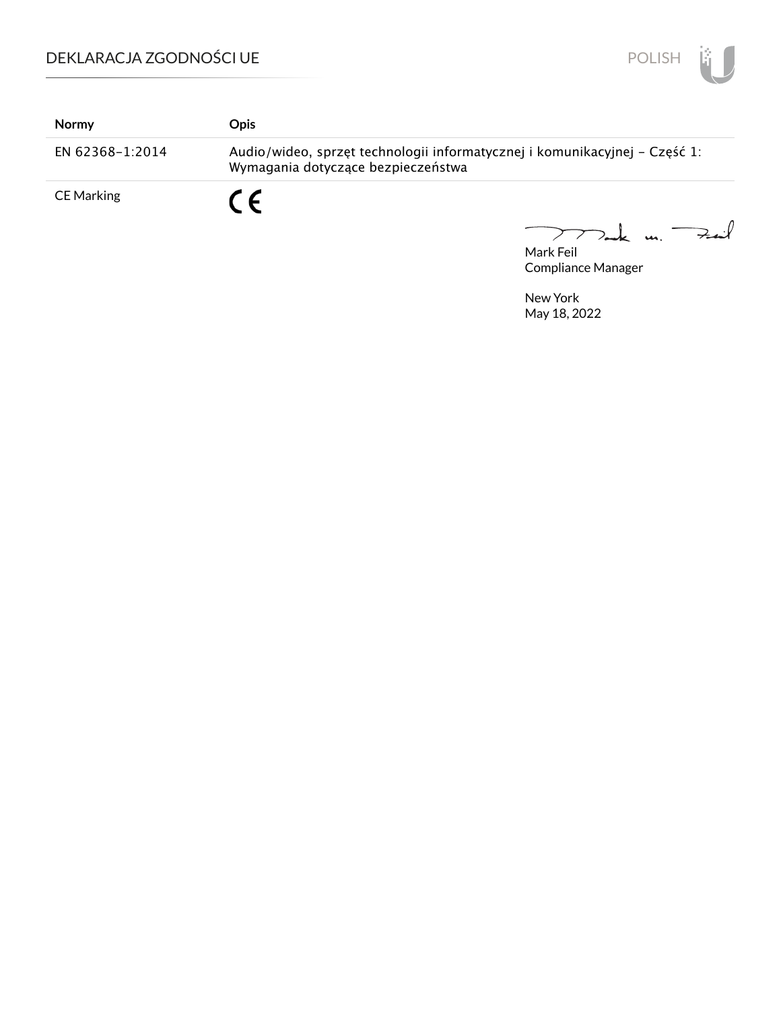

| <b>Normy</b>      | <b>Opis</b>                                                                                                      |
|-------------------|------------------------------------------------------------------------------------------------------------------|
| EN 62368-1:2014   | Audio/wideo, sprzęt technologii informatycznej i komunikacyjnej – Część 1:<br>Wymagania dotyczące bezpieczeństwa |
| <b>CE Marking</b> | $\epsilon$                                                                                                       |

Mark Feil Compliance Manager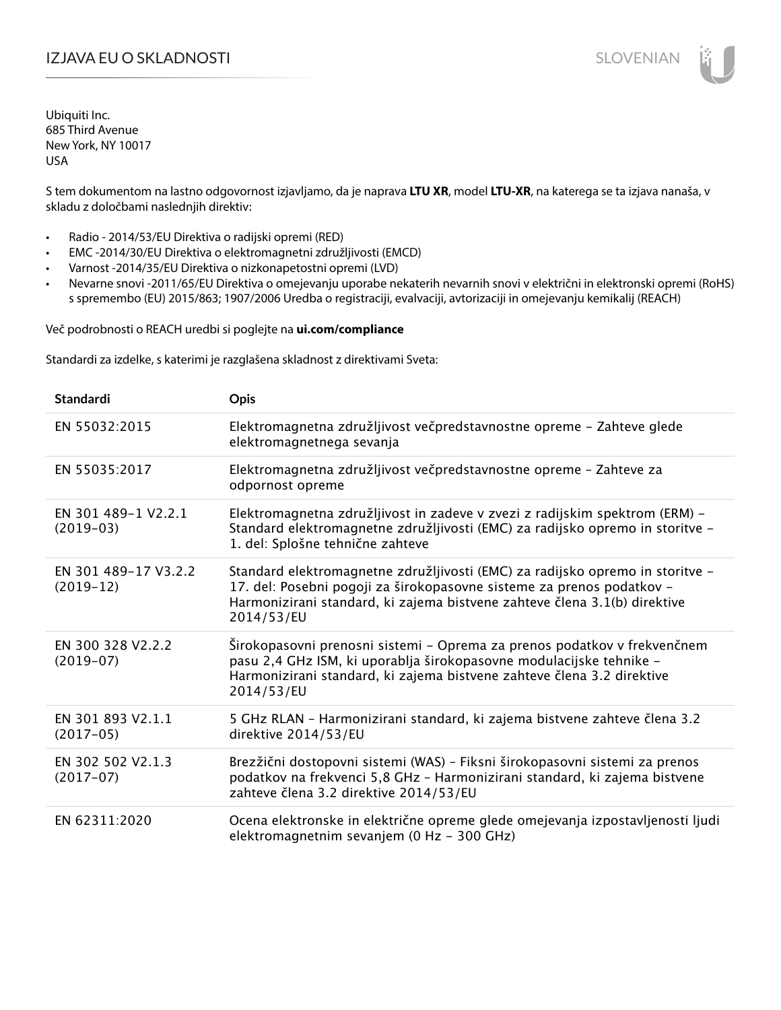# IZJAVA EU O SKLADNOSTI SLOVENIAN

Ubiquiti Inc. 685 Third Avenue New York, NY 10017 USA

S tem dokumentom na lastno odgovornost izjavljamo, da je naprava **LTU XR**, model **LTU-XR**, na katerega se ta izjava nanaša, v skladu z določbami naslednjih direktiv:

- Radio 2014/53/EU Direktiva o radijski opremi (RED)
- EMC -2014/30/EU Direktiva o elektromagnetni združljivosti (EMCD)
- Varnost -2014/35/EU Direktiva o nizkonapetostni opremi (LVD)
- Nevarne snovi -2011/65/EU Direktiva o omejevanju uporabe nekaterih nevarnih snovi v električni in elektronski opremi (RoHS) s spremembo (EU) 2015/863; 1907/2006 Uredba o registraciji, evalvaciji, avtorizaciji in omejevanju kemikalij (REACH)

Več podrobnosti o REACH uredbi si poglejte na **ui.com/compliance**

Standardi za izdelke, s katerimi je razglašena skladnost z direktivami Sveta:

| <b>Standardi</b>                    | <b>Opis</b>                                                                                                                                                                                                                                       |
|-------------------------------------|---------------------------------------------------------------------------------------------------------------------------------------------------------------------------------------------------------------------------------------------------|
| EN 55032:2015                       | Elektromagnetna združljivost večpredstavnostne opreme - Zahteve glede<br>elektromagnetnega sevanja                                                                                                                                                |
| EN 55035:2017                       | Elektromagnetna združljivost večpredstavnostne opreme - Zahteve za<br>odpornost opreme                                                                                                                                                            |
| EN 301 489-1 V2.2.1<br>$(2019-03)$  | Elektromagnetna združljivost in zadeve v zvezi z radijskim spektrom (ERM) -<br>Standard elektromagnetne združljivosti (EMC) za radijsko opremo in storitve -<br>1. del: Splošne tehnične zahteve                                                  |
| EN 301 489-17 V3.2.2<br>$(2019-12)$ | Standard elektromagnetne združljivosti (EMC) za radijsko opremo in storitve -<br>17. del: Posebni pogoji za širokopasovne sisteme za prenos podatkov -<br>Harmonizirani standard, ki zajema bistvene zahteve člena 3.1(b) direktive<br>2014/53/EU |
| EN 300 328 V2.2.2<br>$(2019-07)$    | Širokopasovni prenosni sistemi - Oprema za prenos podatkov v frekvenčnem<br>pasu 2,4 GHz ISM, ki uporablja širokopasovne modulacijske tehnike -<br>Harmonizirani standard, ki zajema bistvene zahteve člena 3.2 direktive<br>2014/53/EU           |
| EN 301 893 V2.1.1<br>$(2017-05)$    | 5 GHz RLAN - Harmonizirani standard, ki zajema bistvene zahteve člena 3.2<br>direktive 2014/53/EU                                                                                                                                                 |
| EN 302 502 V2.1.3<br>$(2017-07)$    | Brezžični dostopovni sistemi (WAS) - Fiksni širokopasovni sistemi za prenos<br>podatkov na frekvenci 5,8 GHz - Harmonizirani standard, ki zajema bistvene<br>zahteve člena 3.2 direktive 2014/53/EU                                               |
| EN 62311:2020                       | Ocena elektronske in električne opreme glede omejevanja izpostavljenosti ljudi<br>elektromagnetnim sevanjem (0 Hz - 300 GHz)                                                                                                                      |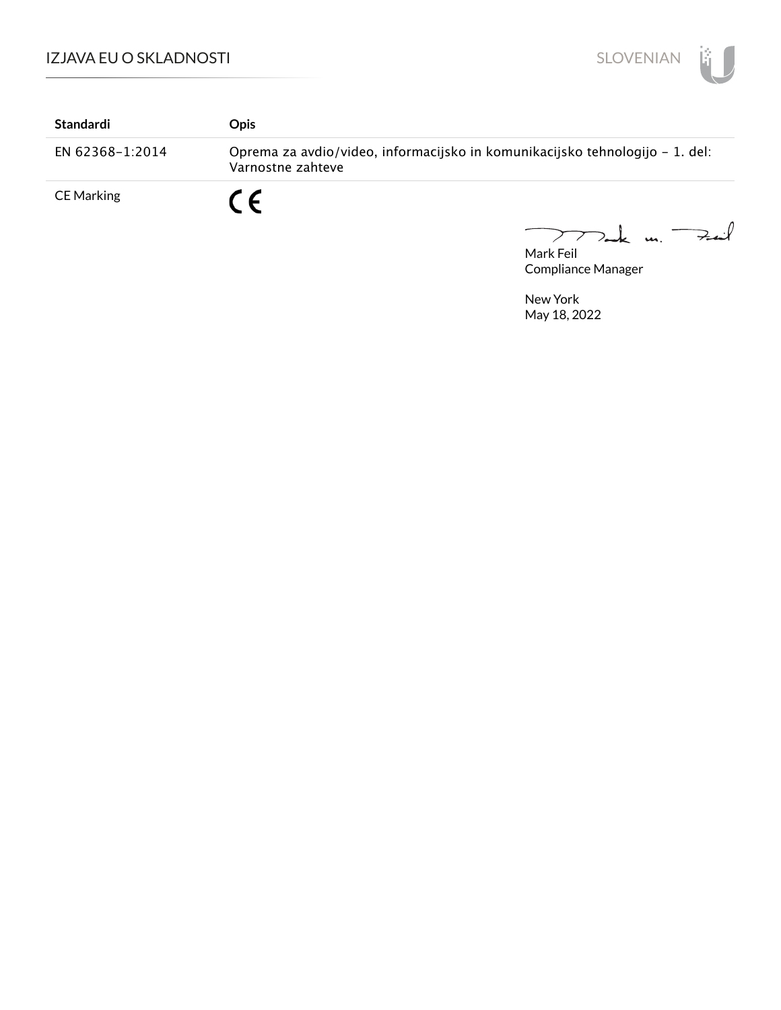

| Standardi         | Opis                                                                                              |
|-------------------|---------------------------------------------------------------------------------------------------|
| EN 62368-1:2014   | Oprema za avdio/video, informacijsko in komunikacijsko tehnologijo – 1. del:<br>Varnostne zahteve |
| <b>CE Marking</b> | $\epsilon$                                                                                        |

Mak m. Fait

Mark Feil Compliance Manager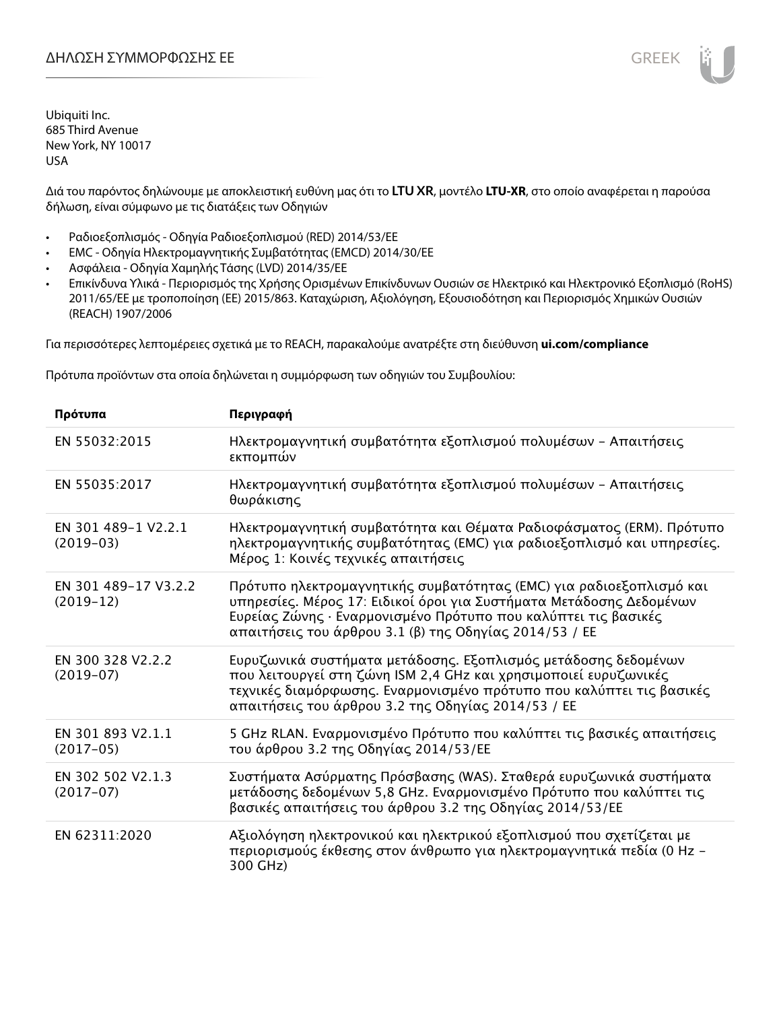Διά του παρόντος δηλώνουμε με αποκλειστική ευθύνη μας ότι το **LTU XR**, μοντέλο **LTU-XR**, στο οποίο αναφέρεται η παρούσα δήλωση, είναι σύμφωνο με τις διατάξεις των Οδηγιών

- Ραδιοεξοπλισμός Οδηγία Ραδιοεξοπλισμού (RED) 2014/53/ΕΕ
- EMC Οδηγία Ηλεκτρομαγνητικής Συμβατότητας (EMCD) 2014/30/ΕΕ
- Ασφάλεια Οδηγία Χαμηλής Τάσης (LVD) 2014/35/ΕΕ
- Επικίνδυνα Υλικά Περιορισμός της Χρήσης Ορισμένων Επικίνδυνων Ουσιών σε Ηλεκτρικό και Ηλεκτρονικό Εξοπλισμό (RoHS) 2011/65/ΕΕ με τροποποίηση (ΕΕ) 2015/863. Καταχώριση, Αξιολόγηση, Εξουσιοδότηση και Περιορισμός Χημικών Ουσιών (REACH) 1907/2006

Για περισσότερες λεπτομέρειες σχετικά με το REACH, παρακαλούμε ανατρέξτε στη διεύθυνση **ui.com/compliance**

Πρότυπα προϊόντων στα οποία δηλώνεται η συμμόρφωση των οδηγιών του Συμβουλίου:

| Πρότυπα                             | Περιγραφή                                                                                                                                                                                                                                                              |
|-------------------------------------|------------------------------------------------------------------------------------------------------------------------------------------------------------------------------------------------------------------------------------------------------------------------|
| EN 55032:2015                       | Ηλεκτρομαγνητική συμβατότητα εξοπλισμού πολυμέσων – Απαιτήσεις<br>εκπομπών                                                                                                                                                                                             |
| EN 55035:2017                       | Ηλεκτρομαγνητική συμβατότητα εξοπλισμού πολυμέσων - Απαιτήσεις<br>θωράκισης                                                                                                                                                                                            |
| EN 301 489-1 V2.2.1<br>$(2019-03)$  | Ηλεκτρομαγνητική συμβατότητα και Θέματα Ραδιοφάσματος (ERM). Πρότυπο<br>ηλεκτρομαγνητικής συμβατότητας (EMC) για ραδιοεξοπλισμό και υπηρεσίες.<br>Μέρος 1: Κοινές τεχνικές απαιτήσεις                                                                                  |
| EN 301 489-17 V3.2.2<br>$(2019-12)$ | Πρότυπο ηλεκτρομαγνητικής συμβατότητας (ΕΜC) για ραδιοεξοπλισμό και<br>υπηρεσίες. Μέρος 17: Ειδικοί όροι για Συστήματα Μετάδοσης Δεδομένων<br>Ευρείας Ζώνης · Εναρμονισμένο Πρότυπο που καλύπτει τις βασικές<br>απαιτήσεις του άρθρου 3.1 (β) της Οδηγίας 2014/53 / ΕΕ |
| EN 300 328 V2.2.2<br>$(2019-07)$    | Ευρυζωνικά συστήματα μετάδοσης. Εξοπλισμός μετάδοσης δεδομένων<br>που λειτουργεί στη ζώνη ISM 2,4 GHz και χρησιμοποιεί ευρυζωνικές<br>τεχνικές διαμόρφωσης. Εναρμονισμένο πρότυπο που καλύπτει τις βασικές<br>απαιτήσεις του άρθρου 3.2 της Οδηγίας 2014/53 / ΕΕ       |
| EN 301 893 V2.1.1<br>$(2017-05)$    | 5 GHz RLAN. Εναρμονισμένο Πρότυπο που καλύπτει τις βασικές απαιτήσεις<br>του άρθρου 3.2 της Οδηγίας 2014/53/ΕΕ                                                                                                                                                         |
| EN 302 502 V2.1.3<br>$(2017-07)$    | Συστήματα Ασύρματης Πρόσβασης (WAS). Σταθερά ευρυζωνικά συστήματα<br>μετάδοσης δεδομένων 5,8 GHz. Εναρμονισμένο Πρότυπο που καλύπτει τις<br>βασικές απαιτήσεις του άρθρου 3.2 της Οδηγίας 2014/53/ΕΕ                                                                   |
| EN 62311:2020                       | Αξιολόγηση ηλεκτρονικού και ηλεκτρικού εξοπλισμού που σχετίζεται με<br>περιορισμούς έκθεσης στον άνθρωπο για ηλεκτρομαγνητικά πεδία (0 Hz -<br>300 GHz)                                                                                                                |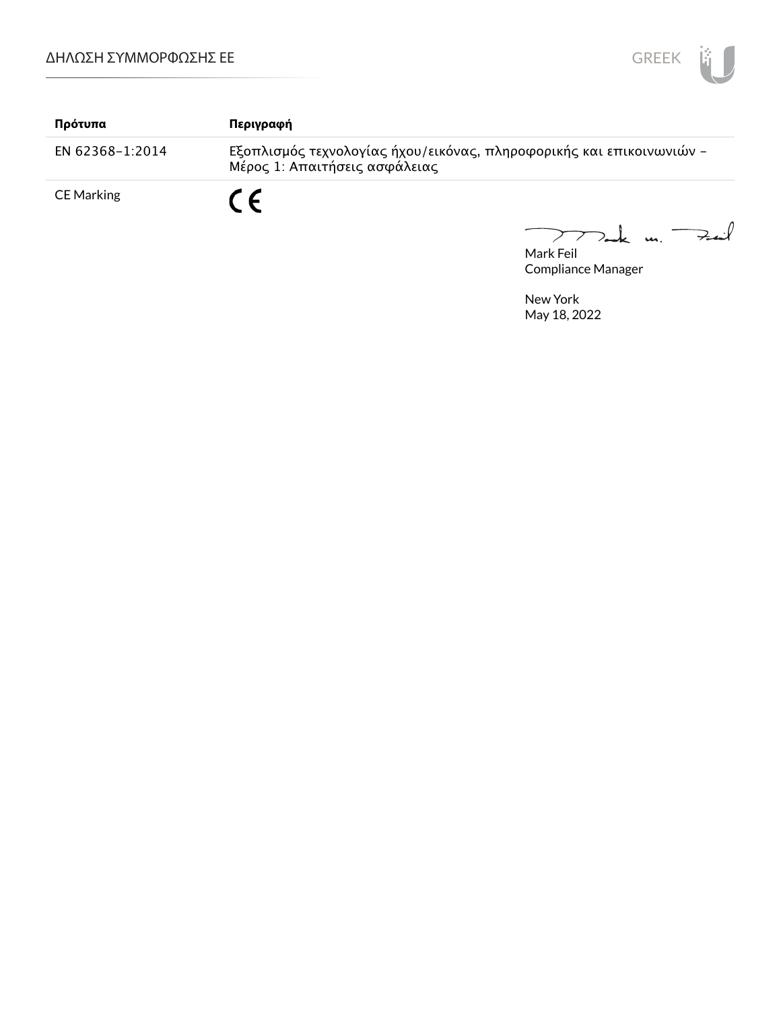

| Πρότυπα         | Περιγραφή                                                                                             |
|-----------------|-------------------------------------------------------------------------------------------------------|
| EN 62368-1:2014 | Εξοπλισμός τεχνολογίας ήχου/εικόνας, πληροφορικής και επικοινωνιών -<br>Μέρος 1: Απαιτήσεις ασφάλειας |
| CE Marking      | C E                                                                                                   |

Mark Feil<br>Mark Feil  $\overline{\phantom{0}}$ 

Compliance Manager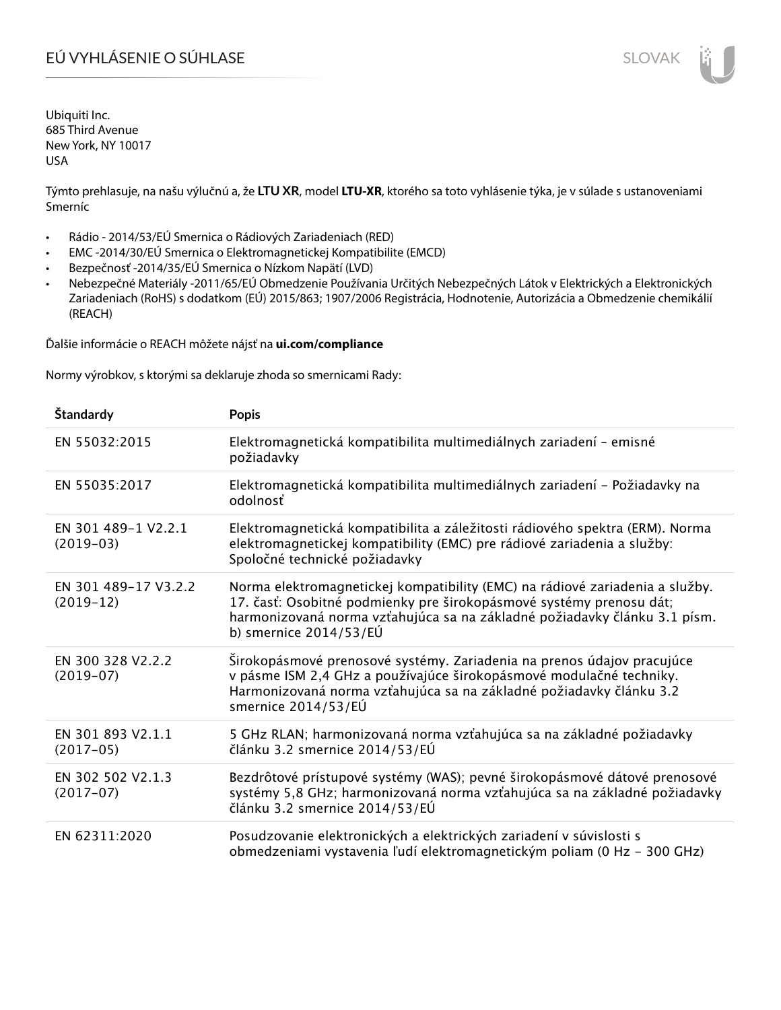# EÚ VYHLÁSENIE O SÚHLASE SLOVAK SLOVAK

Ubiquiti Inc. 685 Third Avenue New York, NY 10017 USA

Týmto prehlasuje, na našu výlučnú a, že **LTU XR**, model **LTU-XR**, ktorého sa toto vyhlásenie týka, je v súlade s ustanoveniami Smerníc

- Rádio 2014/53/EÚ Smernica o Rádiových Zariadeniach (RED)
- EMC -2014/30/EÚ Smernica o Elektromagnetickej Kompatibilite (EMCD)
- Bezpečnosť -2014/35/EÚ Smernica o Nízkom Napätí (LVD)
- Nebezpečné Materiály -2011/65/EÚ Obmedzenie Používania Určitých Nebezpečných Látok v Elektrických a Elektronických Zariadeniach (RoHS) s dodatkom (EÚ) 2015/863; 1907/2006 Registrácia, Hodnotenie, Autorizácia a Obmedzenie chemikálií (REACH)

Ďalšie informácie o REACH môžete nájsť na **ui.com/compliance**

Normy výrobkov, s ktorými sa deklaruje zhoda so smernicami Rady:

| Štandardy                           | <b>Popis</b>                                                                                                                                                                                                                                                 |
|-------------------------------------|--------------------------------------------------------------------------------------------------------------------------------------------------------------------------------------------------------------------------------------------------------------|
| EN 55032:2015                       | Elektromagnetická kompatibilita multimediálnych zariadení - emisné<br>požiadavky                                                                                                                                                                             |
| EN 55035:2017                       | Elektromagnetická kompatibilita multimediálnych zariadení – Požiadavky na<br>odolnosť                                                                                                                                                                        |
| EN 301 489-1 V2.2.1<br>$(2019-03)$  | Elektromagnetická kompatibilita a záležitosti rádiového spektra (ERM). Norma<br>elektromagnetickej kompatibility (EMC) pre rádiové zariadenia a služby:<br>Spoločné technické požiadavky                                                                     |
| EN 301 489-17 V3.2.2<br>$(2019-12)$ | Norma elektromagnetickej kompatibility (EMC) na rádiové zariadenia a služby.<br>17. časť: Osobitné podmienky pre širokopásmové systémy prenosu dát;<br>harmonizovaná norma vzťahujúca sa na základné požiadavky článku 3.1 písm.<br>b) smernice $2014/53/EU$ |
| EN 300 328 V2.2.2<br>$(2019-07)$    | Širokopásmové prenosové systémy. Zariadenia na prenos údajov pracujúce<br>v pásme ISM 2,4 GHz a používajúce širokopásmové modulačné techniky.<br>Harmonizovaná norma vzťahujúca sa na základné požiadavky článku 3.2<br>smernice 2014/53/EÚ                  |
| EN 301 893 V2.1.1<br>$(2017-05)$    | 5 GHz RLAN; harmonizovaná norma vzťahujúca sa na základné požiadavky<br>článku 3.2 smernice 2014/53/EÚ                                                                                                                                                       |
| EN 302 502 V2.1.3<br>$(2017-07)$    | Bezdrôtové prístupové systémy (WAS); pevné širokopásmové dátové prenosové<br>systémy 5,8 GHz; harmonizovaná norma vzťahujúca sa na základné požiadavky<br>článku 3.2 smernice 2014/53/EÚ                                                                     |
| EN 62311:2020                       | Posudzovanie elektronických a elektrických zariadení v súvislosti s<br>obmedzeniami vystavenia ľudí elektromagnetickým poliam (0 Hz - 300 GHz)                                                                                                               |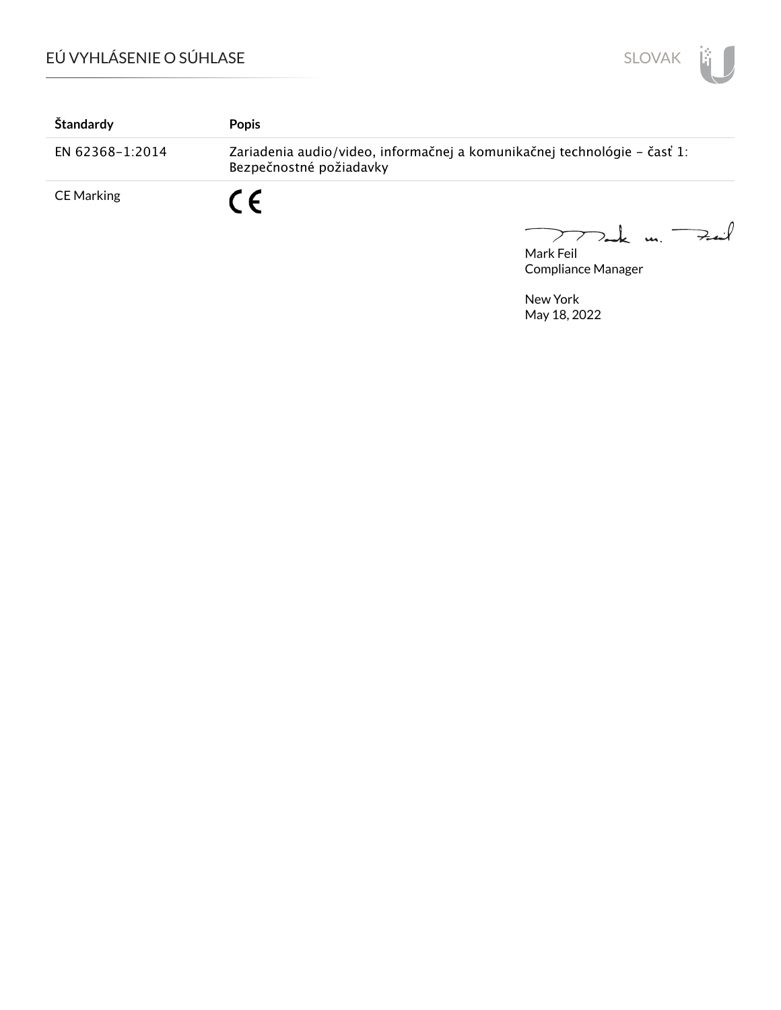

| Štandardy       | <b>Popis</b>                                                                                        |
|-----------------|-----------------------------------------------------------------------------------------------------|
| EN 62368-1:2014 | Zariadenia audio/video, informačnej a komunikačnej technológie – časť 1:<br>Bezpečnostné požiadavky |
| CE Marking      | C E                                                                                                 |

 $772$ ak un  $74$ Mark Feil

Compliance Manager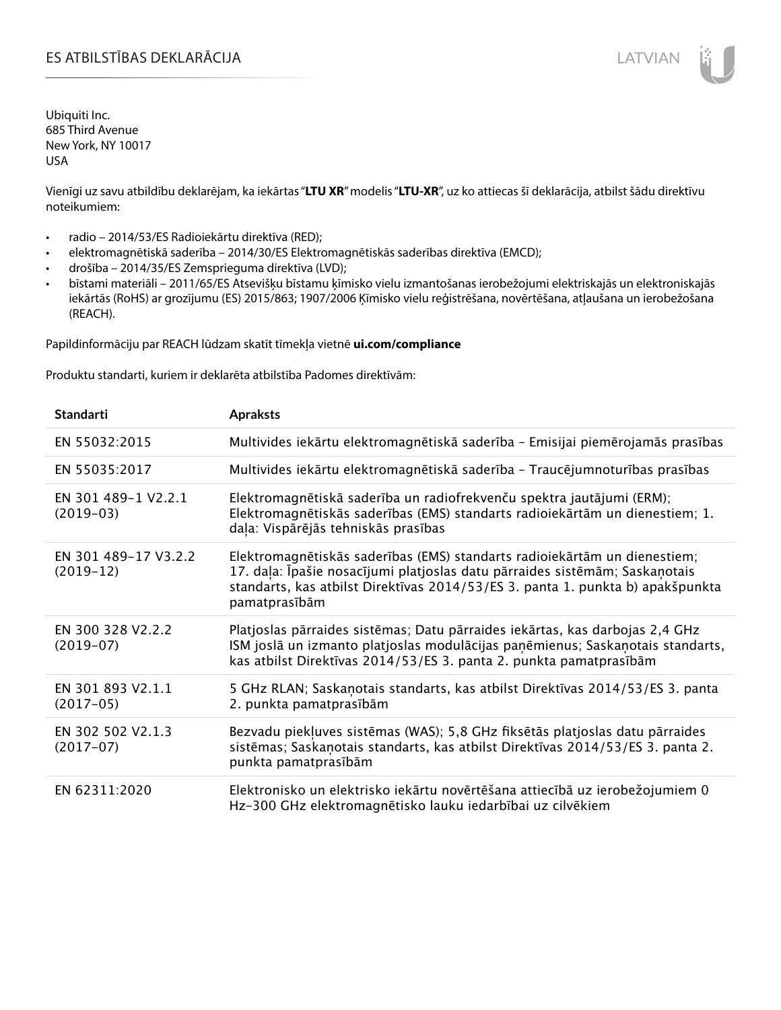# ES ATBILSTĪBAS DEKLARĀCIJA VALODAS ARĀ ATBILSTĪBAS DEKLARĀCIJA VALODAS ARĀ ATBILSTĪBAS DEKLARĀCIJA VALODAS ARĀ

Ubiquiti Inc. 685 Third Avenue New York, NY 10017 USA

Vienīgi uz savu atbildību deklarējam, ka iekārtas "**LTU XR**" modelis "**LTU-XR**", uz ko attiecas šī deklarācija, atbilst šādu direktīvu noteikumiem:

- radio 2014/53/ES Radioiekārtu direktīva (RED);
- elektromagnētiskā saderība 2014/30/ES Elektromagnētiskās saderības direktīva (EMCD);
- drošība 2014/35/ES Zemsprieguma direktīva (LVD);
- bīstami materiāli 2011/65/ES Atsevišķu bīstamu ķīmisko vielu izmantošanas ierobežojumi elektriskajās un elektroniskajās iekārtās (RoHS) ar grozījumu (ES) 2015/863; 1907/2006 Ķīmisko vielu reģistrēšana, novērtēšana, atļaušana un ierobežošana (REACH).

Papildinformāciju par REACH lūdzam skatīt tīmekļa vietnē **ui.com/compliance**

Produktu standarti, kuriem ir deklarēta atbilstība Padomes direktīvām:

| <b>Standarti</b>                    | <b>Apraksts</b>                                                                                                                                                                                                                                             |
|-------------------------------------|-------------------------------------------------------------------------------------------------------------------------------------------------------------------------------------------------------------------------------------------------------------|
| EN 55032:2015                       | Multivides iekārtu elektromagnētiskā saderība - Emisijai piemērojamās prasības                                                                                                                                                                              |
| EN 55035:2017                       | Multivides iekārtu elektromagnētiskā saderība - Traucējumnoturības prasības                                                                                                                                                                                 |
| EN 301 489-1 V2.2.1<br>$(2019-03)$  | Elektromagnētiskā saderība un radiofrekvenču spektra jautājumi (ERM);<br>Elektromagnētiskās saderības (EMS) standarts radioiekārtām un dienestiem; 1.<br>daļa: Vispārējās tehniskās prasības                                                                |
| EN 301 489-17 V3.2.2<br>$(2019-12)$ | Elektromagnētiskās saderības (EMS) standarts radioiekārtām un dienestiem;<br>17. daļa: Īpašie nosacījumi platjoslas datu pārraides sistēmām; Saskaņotais<br>standarts, kas atbilst Direktīvas 2014/53/ES 3. panta 1. punkta b) apakšpunkta<br>pamatprasībām |
| EN 300 328 V2.2.2<br>$(2019-07)$    | Platjoslas pārraides sistēmas; Datu pārraides iekārtas, kas darbojas 2,4 GHz<br>ISM joslā un izmanto platjoslas modulācijas paņēmienus; Saskaņotais standarts,<br>kas atbilst Direktīvas 2014/53/ES 3. panta 2. punkta pamatprasībām                        |
| EN 301 893 V2.1.1<br>$(2017-05)$    | 5 GHz RLAN; Saskanotais standarts, kas atbilst Direktīvas 2014/53/ES 3. panta<br>2. punkta pamatprasībām                                                                                                                                                    |
| EN 302 502 V2.1.3<br>$(2017-07)$    | Bezvadu piekļuves sistēmas (WAS); 5,8 GHz fiksētās platjoslas datu pārraides<br>sistēmas; Saskaņotais standarts, kas atbilst Direktīvas 2014/53/ES 3. panta 2.<br>punkta pamatprasībām                                                                      |
| EN 62311:2020                       | Elektronisko un elektrisko iekārtu novērtēšana attiecībā uz ierobežojumiem 0<br>Hz-300 GHz elektromagnētisko lauku iedarbībai uz cilvēkiem                                                                                                                  |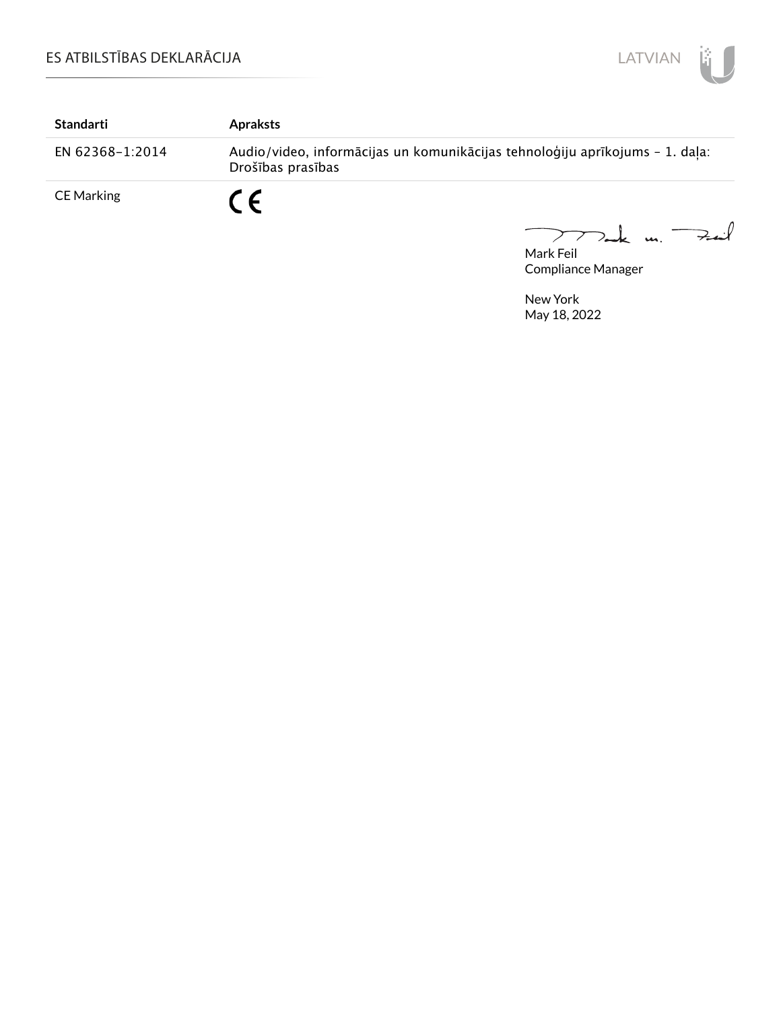

| Standarti         | <b>Apraksts</b>                                                                                   |
|-------------------|---------------------------------------------------------------------------------------------------|
| EN 62368-1:2014   | Audio/video, informācijas un komunikācijas tehnoloģiju aprīkojums - 1. daļa:<br>Drošības prasības |
| <b>CE Marking</b> | $\epsilon$                                                                                        |

mak m. Fail  $\overline{\phantom{0}}$ 

Mark Feil Compliance Manager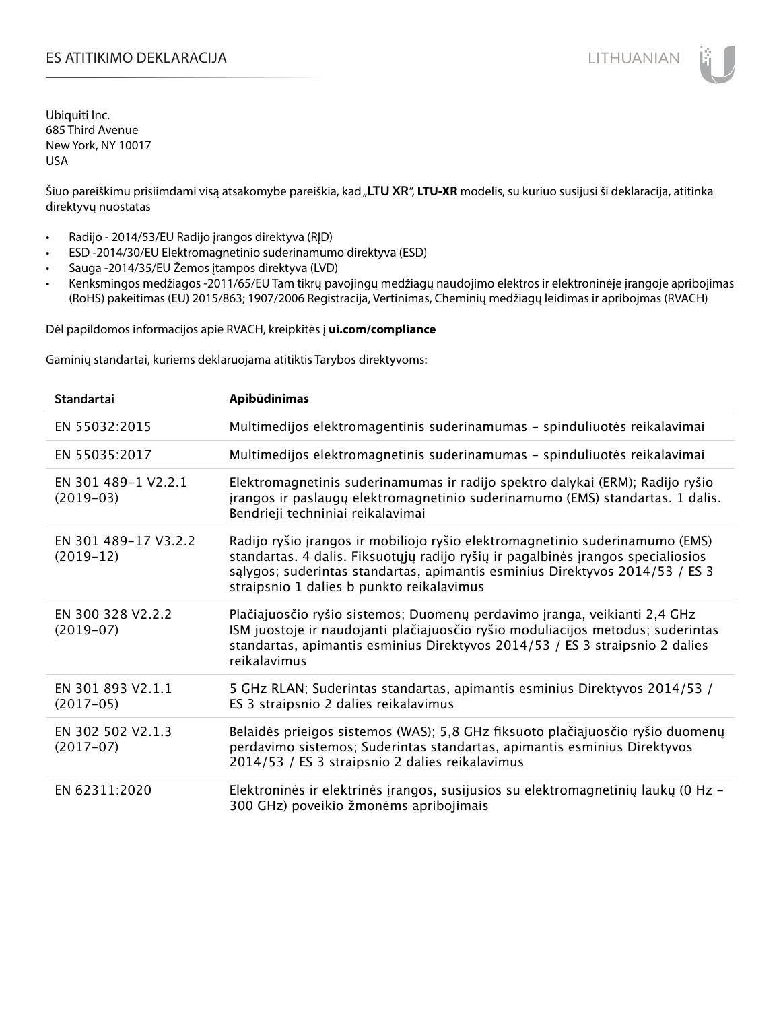# ES ATITIKIMO DEKLARACIJA NA SATITIKIMO DEKLARACIJA NA SATITIKIMO DE SATITIKIMO DE KLARACIJA NA SATITIKIMO DE KLA

Ubiquiti Inc. 685 Third Avenue New York, NY 10017 USA

Šiuo pareiškimu prisiimdami visą atsakomybe pareiškia, kad "**LTU XR**", **LTU-XR** modelis, su kuriuo susijusi ši deklaracija, atitinka direktyvų nuostatas

- Radijo 2014/53/EU Radijo įrangos direktyva (RĮD)
- ESD -2014/30/EU Elektromagnetinio suderinamumo direktyva (ESD)
- Sauga -2014/35/EU Žemos įtampos direktyva (LVD)
- Kenksmingos medžiagos -2011/65/EU Tam tikrų pavojingų medžiagų naudojimo elektros ir elektroninėje įrangoje apribojimas (RoHS) pakeitimas (EU) 2015/863; 1907/2006 Registracija, Vertinimas, Cheminių medžiagų leidimas ir apribojmas (RVACH)

Dėl papildomos informacijos apie RVACH, kreipkitės į **ui.com/compliance**

Gaminių standartai, kuriems deklaruojama atitiktis Tarybos direktyvoms:

| <b>Standartai</b>                   | Apibūdinimas                                                                                                                                                                                                                                                                                  |
|-------------------------------------|-----------------------------------------------------------------------------------------------------------------------------------------------------------------------------------------------------------------------------------------------------------------------------------------------|
| EN 55032:2015                       | Multimedijos elektromagentinis suderinamumas - spinduliuotės reikalavimai                                                                                                                                                                                                                     |
| EN 55035:2017                       | Multimedijos elektromagnetinis suderinamumas - spinduliuotės reikalavimai                                                                                                                                                                                                                     |
| EN 301 489-1 V2.2.1<br>$(2019-03)$  | Elektromagnetinis suderinamumas ir radijo spektro dalykai (ERM); Radijo ryšio<br>jrangos ir paslaugų elektromagnetinio suderinamumo (EMS) standartas. 1 dalis.<br>Bendrieji techniniai reikalavimai                                                                                           |
| EN 301 489-17 V3.2.2<br>$(2019-12)$ | Radijo ryšio įrangos ir mobiliojo ryšio elektromagnetinio suderinamumo (EMS)<br>standartas. 4 dalis. Fiksuotųjų radijo ryšių ir pagalbinės įrangos specialiosios<br>sąlygos; suderintas standartas, apimantis esminius Direktyvos 2014/53 / ES 3<br>straipsnio 1 dalies b punkto reikalavimus |
| EN 300 328 V2.2.2<br>$(2019-07)$    | Plačiajuosčio ryšio sistemos; Duomenų perdavimo įranga, veikianti 2,4 GHz<br>ISM juostoje ir naudojanti plačiajuosčio ryšio moduliacijos metodus; suderintas<br>standartas, apimantis esminius Direktyvos 2014/53 / ES 3 straipsnio 2 dalies<br>reikalavimus                                  |
| EN 301 893 V2.1.1<br>$(2017-05)$    | 5 GHz RLAN; Suderintas standartas, apimantis esminius Direktyvos 2014/53 /<br>ES 3 straipsnio 2 dalies reikalavimus                                                                                                                                                                           |
| EN 302 502 V2.1.3<br>$(2017-07)$    | Belaidės prieigos sistemos (WAS); 5,8 GHz fiksuoto plačiajuosčio ryšio duomenų<br>perdavimo sistemos; Suderintas standartas, apimantis esminius Direktyvos<br>2014/53 / ES 3 straipsnio 2 dalies reikalavimus                                                                                 |
| EN 62311:2020                       | Elektroninės ir elektrinės įrangos, susijusios su elektromagnetinių laukų (0 Hz -<br>300 GHz) poveikio žmonėms apribojimais                                                                                                                                                                   |